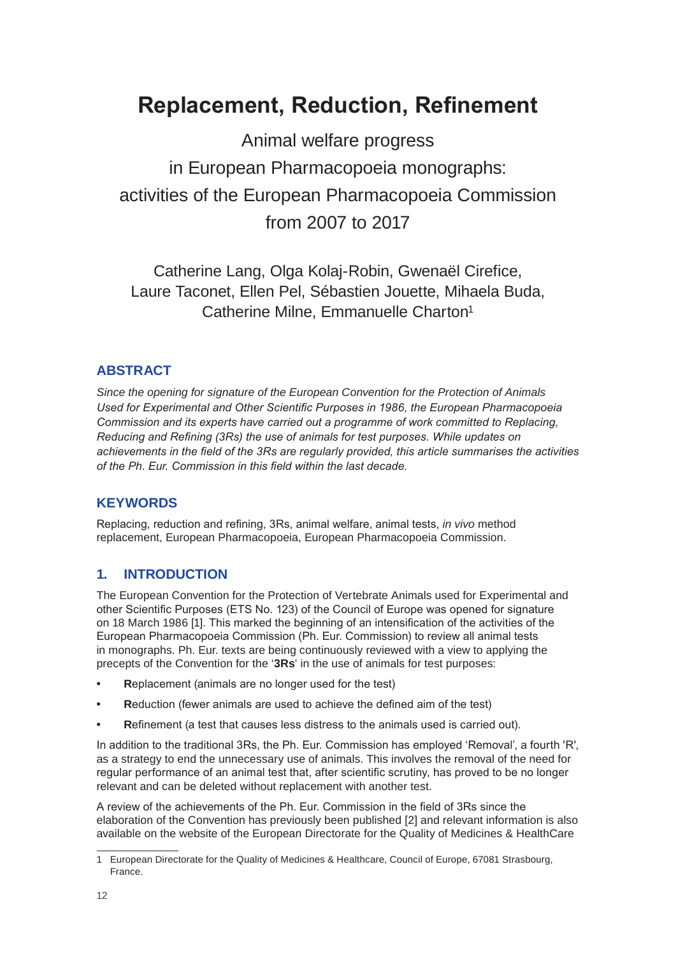# **Replacement, Reduction, Refinement**

Animal welfare progress in European Pharmacopoeia monographs: activities of the European Pharmacopoeia Commission from 2007 to 2017

Catherine Lang, Olga Kolaj-Robin, Gwenaël Cirefice, Laure Taconet, Ellen Pel, Sébastien Jouette, Mihaela Buda, Catherine Milne, Emmanuelle Charton1

# **ABSTRACT**

*Since the opening for signature of the European Convention for the Protection of Animals Used for Experimental and Other Scientific Purposes in 1986, the European Pharmacopoeia Commission and its experts have carried out a programme of work committed to Replacing, Reducing and Refining (3Rs) the use of animals for test purposes. While updates on achievements in the field of the 3Rs are regularly provided, this article summarises the activities of the Ph. Eur. Commission in this field within the last decade.*

#### **KEYWORDS**

Replacing, reduction and refining, 3Rs, animal welfare, animal tests, *in vivo* method replacement, European Pharmacopoeia, European Pharmacopoeia Commission.

#### **1. INTRODUCTION**

The European Convention for the Protection of Vertebrate Animals used for Experimental and other Scientific Purposes (ETS No. 123) of the Council of Europe was opened for signature on 18 March 1986 [\[1](#page-13-0)]. This marked the beginning of an intensification of the activities of the European Pharmacopoeia Commission (Ph. Eur. Commission) to review all animal tests in monographs. Ph. Eur. texts are being continuously reviewed with a view to applying the precepts of the Convention for the '**3Rs**' in the use of animals for test purposes:

- **• R**eplacement (animals are no longer used for the test)
- **• R**eduction (fewer animals are used to achieve the defined aim of the test)
- **• R**efinement (a test that causes less distress to the animals used is carried out).

In addition to the traditional 3Rs, the Ph. Eur. Commission has employed 'Removal', a fourth 'R', as a strategy to end the unnecessary use of animals. This involves the removal of the need for regular performance of an animal test that, after scientific scrutiny, has proved to be no longer relevant and can be deleted without replacement with another test.

A review of the achievements of the Ph. Eur. Commission in the field of 3Rs since the elaboration of the Convention has previously been published [\[2](#page-13-1)] and relevant information is also available on the website of the European Directorate for the Quality of Medicines & HealthCare

<sup>1</sup> European Directorate for the Quality of Medicines & Healthcare, Council of Europe, 67081 Strasbourg, France.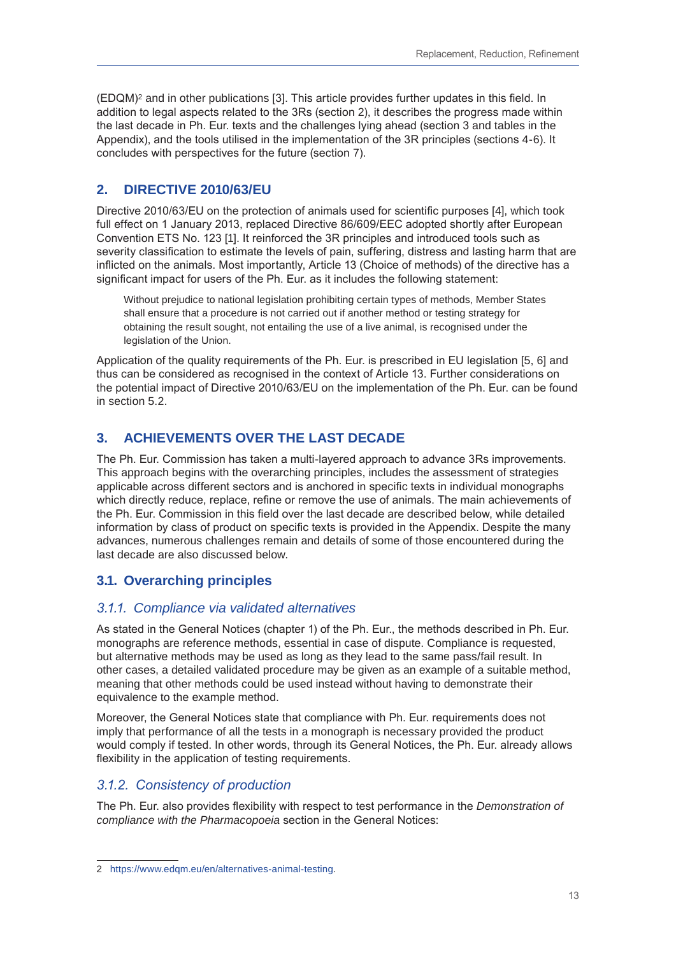(EDQM)2 and in other publications [[3](#page-13-2)]. This article provides further updates in this field. In addition to legal aspects related to the 3Rs (section [2](#page-1-0)), it describes the progress made within the last decade in Ph. Eur. texts and the challenges lying ahead (section [3](#page-1-1) and tables in the Appendix), and the tools utilised in the implementation of the 3R principles (sections [4-](#page-8-0)[6](#page-10-0)). It concludes with perspectives for the future (section [7](#page-11-0)).

#### <span id="page-1-0"></span>**2. DIRECTIVE 2010/63/EU**

Directive 2010/63/EU on the protection of animals used for scientific purposes [[4](#page-13-3)], which took full effect on 1 January 2013, replaced Directive 86/609/EEC adopted shortly after European Convention ETS No. 123 [[1](#page-13-0)]. It reinforced the 3R principles and introduced tools such as severity classification to estimate the levels of pain, suffering, distress and lasting harm that are inflicted on the animals. Most importantly, Article 13 (Choice of methods) of the directive has a significant impact for users of the Ph. Eur. as it includes the following statement:

Without prejudice to national legislation prohibiting certain types of methods, Member States shall ensure that a procedure is not carried out if another method or testing strategy for obtaining the result sought, not entailing the use of a live animal, is recognised under the legislation of the Union.

Application of the quality requirements of the Ph. Eur. is prescribed in EU legislation [[5](#page-13-4), [6](#page-13-5)] and thus can be considered as recognised in the context of Article 13. Further considerations on the potential impact of Directive 2010/63/EU on the implementation of the Ph. Eur. can be found in section 5.2.

#### <span id="page-1-1"></span>**3. ACHIEVEMENTS OVER THE LAST DECADE**

The Ph. Eur. Commission has taken a multi-layered approach to advance 3Rs improvements. This approach begins with the overarching principles, includes the assessment of strategies applicable across different sectors and is anchored in specific texts in individual monographs which directly reduce, replace, refine or remove the use of animals. The main achievements of the Ph. Eur. Commission in this field over the last decade are described below, while detailed information by class of product on specific texts is provided in the Appendix. Despite the many advances, numerous challenges remain and details of some of those encountered during the last decade are also discussed below.

#### **3.1. Overarching principles**

#### *3.1.1. Compliance via validated alternatives*

As stated in the General Notices (chapter 1) of the Ph. Eur., the methods described in Ph. Eur. monographs are reference methods, essential in case of dispute. Compliance is requested, but alternative methods may be used as long as they lead to the same pass/fail result. In other cases, a detailed validated procedure may be given as an example of a suitable method, meaning that other methods could be used instead without having to demonstrate their equivalence to the example method.

Moreover, the General Notices state that compliance with Ph. Eur. requirements does not imply that performance of all the tests in a monograph is necessary provided the product would comply if tested. In other words, through its General Notices, the Ph. Eur. already allows flexibility in the application of testing requirements.

#### *3.1.2. Consistency of production*

The Ph. Eur. also provides flexibility with respect to test performance in the *Demonstration of compliance with the Pharmacopoeia* section in the General Notices:

<sup>2</sup> [https://www.edqm.eu/en/alternatives-animal-testing.](https://www.edqm.eu/en/alternatives-animal-testing)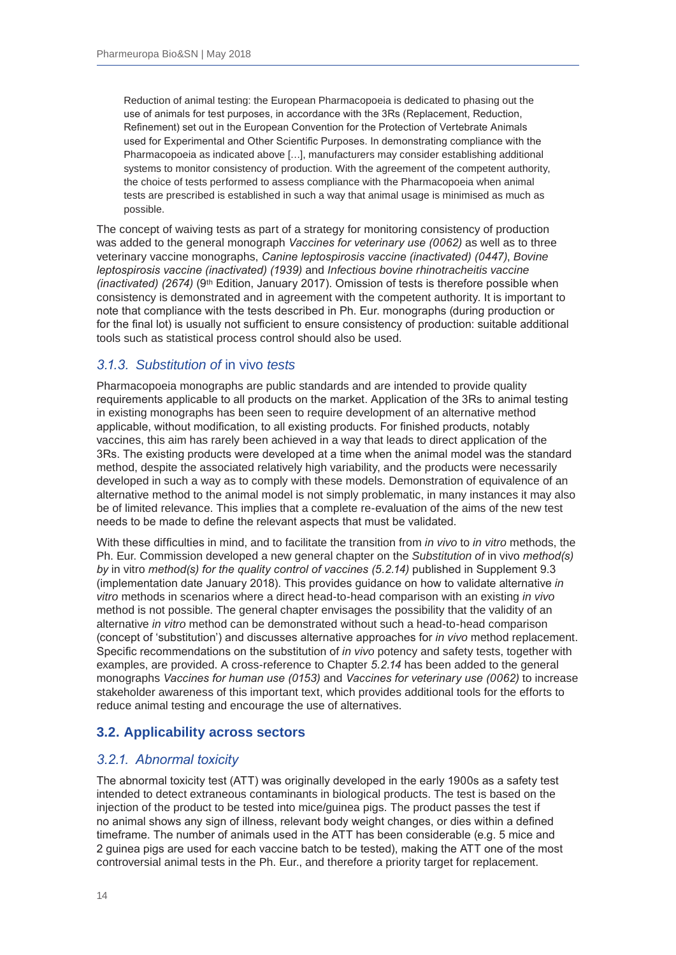Reduction of animal testing: the European Pharmacopoeia is dedicated to phasing out the use of animals for test purposes, in accordance with the 3Rs (Replacement, Reduction, Refinement) set out in the European Convention for the Protection of Vertebrate Animals used for Experimental and Other Scientific Purposes. In demonstrating compliance with the Pharmacopoeia as indicated above […], manufacturers may consider establishing additional systems to monitor consistency of production. With the agreement of the competent authority, the choice of tests performed to assess compliance with the Pharmacopoeia when animal tests are prescribed is established in such a way that animal usage is minimised as much as possible.

The concept of waiving tests as part of a strategy for monitoring consistency of production was added to the general monograph *Vaccines for veterinary use (0062)* as well as to three veterinary vaccine monographs, *Canine leptospirosis vaccine (inactivated) (0447)*, *Bovine leptospirosis vaccine (inactivated) (1939)* and *Infectious bovine rhinotracheitis vaccine (inactivated) (2674)* (9th Edition, January 2017). Omission of tests is therefore possible when consistency is demonstrated and in agreement with the competent authority. It is important to note that compliance with the tests described in Ph. Eur. monographs (during production or for the final lot) is usually not sufficient to ensure consistency of production: suitable additional tools such as statistical process control should also be used.

#### *3.1.3. Substitution of* in vivo *tests*

Pharmacopoeia monographs are public standards and are intended to provide quality requirements applicable to all products on the market. Application of the 3Rs to animal testing in existing monographs has been seen to require development of an alternative method applicable, without modification, to all existing products. For finished products, notably vaccines, this aim has rarely been achieved in a way that leads to direct application of the 3Rs. The existing products were developed at a time when the animal model was the standard method, despite the associated relatively high variability, and the products were necessarily developed in such a way as to comply with these models. Demonstration of equivalence of an alternative method to the animal model is not simply problematic, in many instances it may also be of limited relevance. This implies that a complete re-evaluation of the aims of the new test needs to be made to define the relevant aspects that must be validated.

With these difficulties in mind, and to facilitate the transition from *in vivo* to *in vitro* methods, the Ph. Eur. Commission developed a new general chapter on the *Substitution of* in vivo *method(s) by* in vitro *method(s) for the quality control of vaccines (5.2.14)* published in Supplement 9.3 (implementation date January 2018). This provides guidance on how to validate alternative *in vitro* methods in scenarios where a direct head-to-head comparison with an existing *in vivo* method is not possible. The general chapter envisages the possibility that the validity of an alternative *in vitro* method can be demonstrated without such a head-to-head comparison (concept of 'substitution') and discusses alternative approaches for *in vivo* method replacement. Specific recommendations on the substitution of *in vivo* potency and safety tests, together with examples, are provided. A cross-reference to Chapter *5.2.14* has been added to the general monographs *Vaccines for human use (0153)* and *Vaccines for veterinary use (0062)* to increase stakeholder awareness of this important text, which provides additional tools for the efforts to reduce animal testing and encourage the use of alternatives.

#### **3.2. Applicability across sectors**

#### *3.2.1. Abnormal toxicity*

The abnormal toxicity test (ATT) was originally developed in the early 1900s as a safety test intended to detect extraneous contaminants in biological products. The test is based on the injection of the product to be tested into mice/guinea pigs. The product passes the test if no animal shows any sign of illness, relevant body weight changes, or dies within a defined timeframe. The number of animals used in the ATT has been considerable (e.g. 5 mice and 2 guinea pigs are used for each vaccine batch to be tested), making the ATT one of the most controversial animal tests in the Ph. Eur., and therefore a priority target for replacement.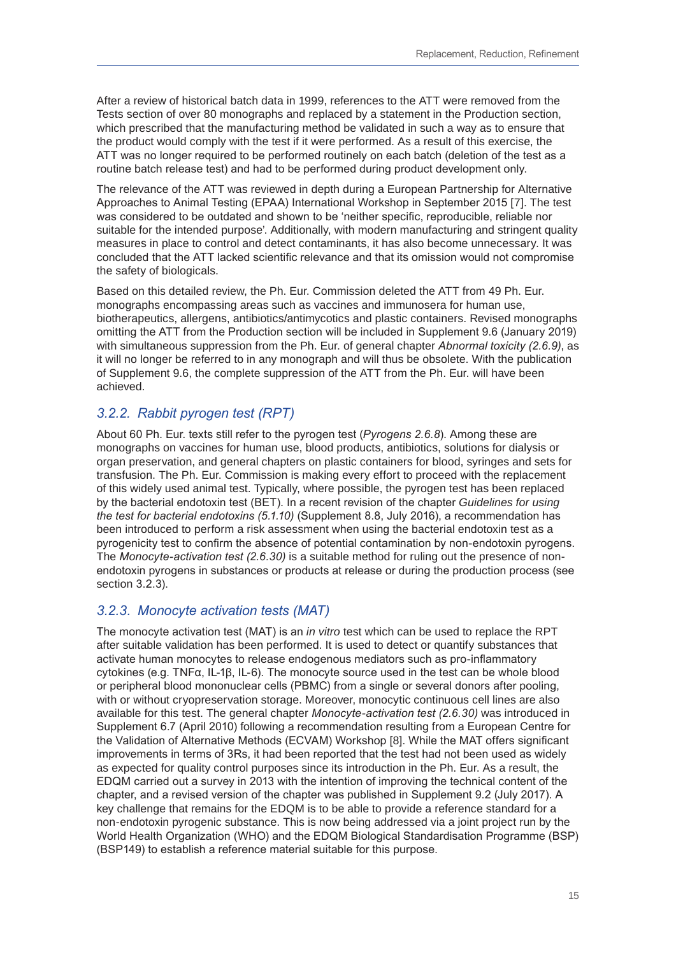After a review of historical batch data in 1999, references to the ATT were removed from the Tests section of over 80 monographs and replaced by a statement in the Production section, which prescribed that the manufacturing method be validated in such a way as to ensure that the product would comply with the test if it were performed. As a result of this exercise, the ATT was no longer required to be performed routinely on each batch (deletion of the test as a routine batch release test) and had to be performed during product development only.

The relevance of the ATT was reviewed in depth during a European Partnership for Alternative Approaches to Animal Testing (EPAA) International Workshop in September 2015 [[7\]](#page-13-6). The test was considered to be outdated and shown to be 'neither specific, reproducible, reliable nor suitable for the intended purpose'. Additionally, with modern manufacturing and stringent quality measures in place to control and detect contaminants, it has also become unnecessary. It was concluded that the ATT lacked scientific relevance and that its omission would not compromise the safety of biologicals.

Based on this detailed review, the Ph. Eur. Commission deleted the ATT from 49 Ph. Eur. monographs encompassing areas such as vaccines and immunosera for human use, biotherapeutics, allergens, antibiotics/antimycotics and plastic containers. Revised monographs omitting the ATT from the Production section will be included in Supplement 9.6 (January 2019) with simultaneous suppression from the Ph. Eur. of general chapter *Abnormal toxicity (2.6.9)*, as it will no longer be referred to in any monograph and will thus be obsolete. With the publication of Supplement 9.6, the complete suppression of the ATT from the Ph. Eur. will have been achieved.

#### *3.2.2. Rabbit pyrogen test (RPT)*

About 60 Ph. Eur. texts still refer to the pyrogen test (*Pyrogens 2.6.8*). Among these are monographs on vaccines for human use, blood products, antibiotics, solutions for dialysis or organ preservation, and general chapters on plastic containers for blood, syringes and sets for transfusion. The Ph. Eur. Commission is making every effort to proceed with the replacement of this widely used animal test. Typically, where possible, the pyrogen test has been replaced by the bacterial endotoxin test (BET). In a recent revision of the chapter *Guidelines for using the test for bacterial endotoxins (5.1.10)* (Supplement 8.8, July 2016), a recommendation has been introduced to perform a risk assessment when using the bacterial endotoxin test as a pyrogenicity test to confirm the absence of potential contamination by non-endotoxin pyrogens. The *Monocyte-activation test (2.6.30)* is a suitable method for ruling out the presence of nonendotoxin pyrogens in substances or products at release or during the production process (see section [3.2.3](#page-3-0)).

#### <span id="page-3-0"></span>*3.2.3. Monocyte activation tests (MAT)*

The monocyte activation test (MAT) is an *in vitro* test which can be used to replace the RPT after suitable validation has been performed. It is used to detect or quantify substances that activate human monocytes to release endogenous mediators such as pro-inflammatory cytokines (e.g. TNFα, IL-1β, IL-6). The monocyte source used in the test can be whole blood or peripheral blood mononuclear cells (PBMC) from a single or several donors after pooling, with or without cryopreservation storage. Moreover, monocytic continuous cell lines are also available for this test. The general chapter *Monocyte-activation test (2.6.30)* was introduced in Supplement 6.7 (April 2010) following a recommendation resulting from a European Centre for the Validation of Alternative Methods (ECVAM) Workshop [\[8](#page-13-7)]. While the MAT offers significant improvements in terms of 3Rs, it had been reported that the test had not been used as widely as expected for quality control purposes since its introduction in the Ph. Eur. As a result, the EDQM carried out a survey in 2013 with the intention of improving the technical content of the chapter, and a revised version of the chapter was published in Supplement 9.2 (July 2017). A key challenge that remains for the EDQM is to be able to provide a reference standard for a non-endotoxin pyrogenic substance. This is now being addressed via a joint project run by the World Health Organization (WHO) and the EDQM Biological Standardisation Programme (BSP) (BSP149) to establish a reference material suitable for this purpose.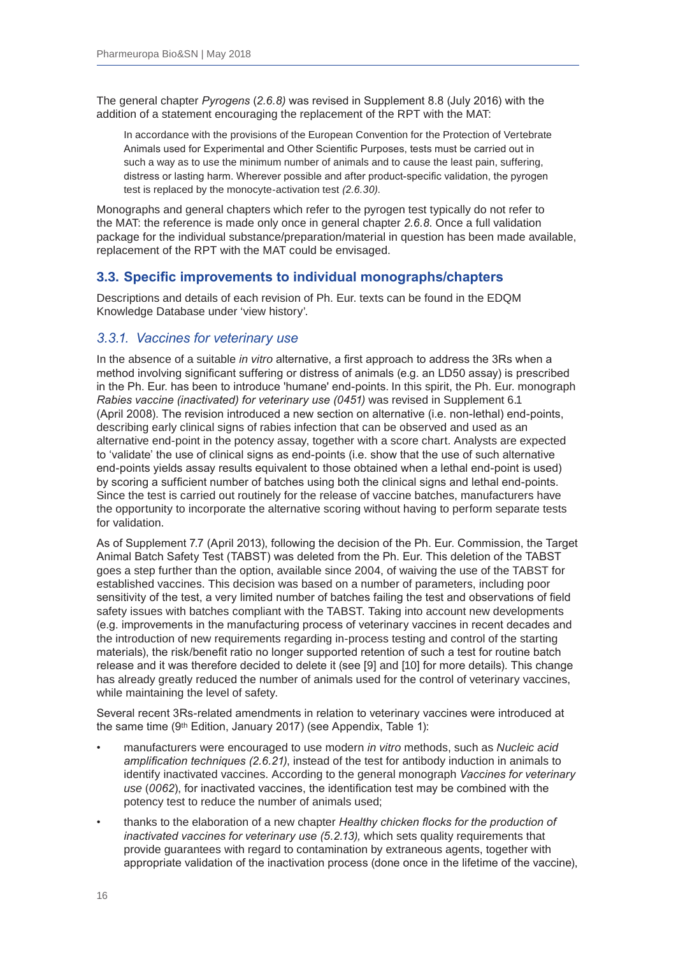The general chapter *Pyrogens* (*2.6.8)* was revised in Supplement 8.8 (July 2016) with the addition of a statement encouraging the replacement of the RPT with the MAT:

In accordance with the provisions of the European Convention for the Protection of Vertebrate Animals used for Experimental and Other Scientific Purposes, tests must be carried out in such a way as to use the minimum number of animals and to cause the least pain, suffering, distress or lasting harm. Wherever possible and after product-specific validation, the pyrogen test is replaced by the monocyte-activation test *(2.6.30)*.

Monographs and general chapters which refer to the pyrogen test typically do not refer to the MAT: the reference is made only once in general chapter *2.6.8*. Once a full validation package for the individual substance/preparation/material in question has been made available, replacement of the RPT with the MAT could be envisaged.

#### **3.3. Specific improvements to individual monographs/chapters**

Descriptions and details of each revision of Ph. Eur. texts can be found in the EDQM Knowledge Database under 'view history'.

#### <span id="page-4-0"></span>*3.3.1. Vaccines for veterinary use*

In the absence of a suitable *in vitro* alternative, a first approach to address the 3Rs when a method involving significant suffering or distress of animals (e.g. an LD50 assay) is prescribed in the Ph. Eur. has been to introduce 'humane' end-points. In this spirit, the Ph. Eur. monograph *Rabies vaccine (inactivated) for veterinary use (0451)* was revised in Supplement 6.1 (April 2008). The revision introduced a new section on alternative (i.e. non-lethal) end-points, describing early clinical signs of rabies infection that can be observed and used as an alternative end-point in the potency assay, together with a score chart. Analysts are expected to 'validate' the use of clinical signs as end-points (i.e. show that the use of such alternative end-points yields assay results equivalent to those obtained when a lethal end-point is used) by scoring a sufficient number of batches using both the clinical signs and lethal end-points. Since the test is carried out routinely for the release of vaccine batches, manufacturers have the opportunity to incorporate the alternative scoring without having to perform separate tests for validation.

As of Supplement 7.7 (April 2013), following the decision of the Ph. Eur. Commission, the Target Animal Batch Safety Test (TABST) was deleted from the Ph. Eur. This deletion of the TABST goes a step further than the option, available since 2004, of waiving the use of the TABST for established vaccines. This decision was based on a number of parameters, including poor sensitivity of the test, a very limited number of batches failing the test and observations of field safety issues with batches compliant with the TABST. Taking into account new developments (e.g. improvements in the manufacturing process of veterinary vaccines in recent decades and the introduction of new requirements regarding in-process testing and control of the starting materials), the risk/benefit ratio no longer supported retention of such a test for routine batch release and it was therefore decided to delete it (see [[9\]](#page-13-8) and [\[10](#page-13-9)] for more details). This change has already greatly reduced the number of animals used for the control of veterinary vaccines, while maintaining the level of safety.

Several recent 3Rs-related amendments in relation to veterinary vaccines were introduced at the same time (9th Edition, January 2017) (see Appendix, Table 1):

- manufacturers were encouraged to use modern *in vitro* methods, such as *Nucleic acid amplification techniques (2.6.21)*, instead of the test for antibody induction in animals to identify inactivated vaccines. According to the general monograph *Vaccines for veterinary use* (*0062*), for inactivated vaccines, the identification test may be combined with the potency test to reduce the number of animals used;
- thanks to the elaboration of a new chapter *Healthy chicken flocks for the production of inactivated vaccines for veterinary use (5.2.13),* which sets quality requirements that provide guarantees with regard to contamination by extraneous agents, together with appropriate validation of the inactivation process (done once in the lifetime of the vaccine),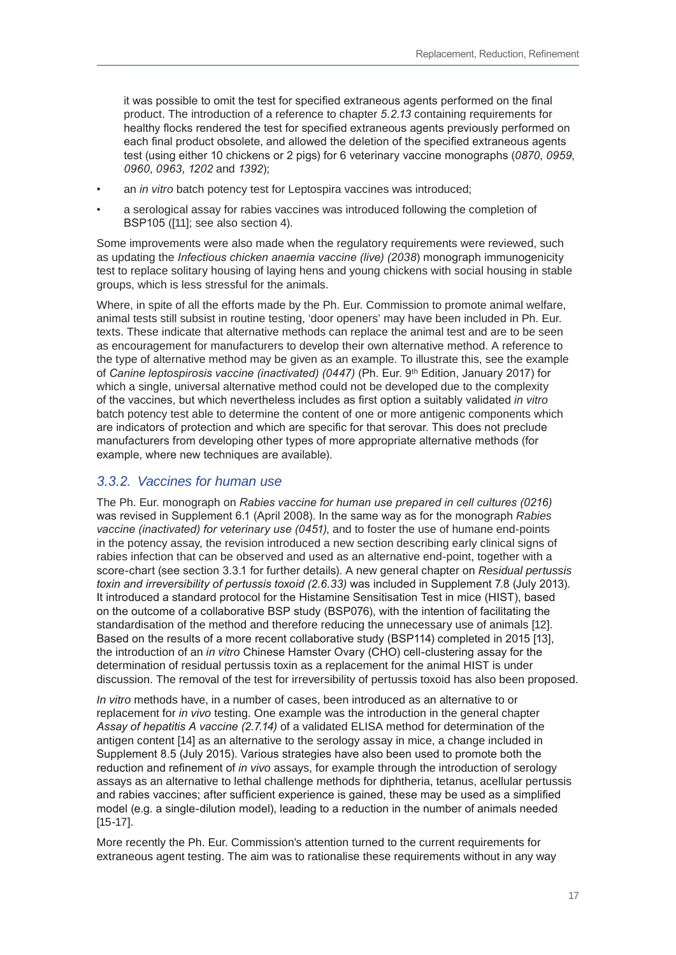it was possible to omit the test for specified extraneous agents performed on the final product. The introduction of a reference to chapter *5.2.13* containing requirements for healthy flocks rendered the test for specified extraneous agents previously performed on each final product obsolete, and allowed the deletion of the specified extraneous agents test (using either 10 chickens or 2 pigs) for 6 veterinary vaccine monographs (*0870*, *0959*, *0960*, *0963*, *1202* and *1392*);

- an *in vitro* batch potency test for Leptospira vaccines was introduced;
- a serological assay for rabies vaccines was introduced following the completion of BSP105 ([[11\]](#page-13-10); see also section [4](#page-8-0)).

Some improvements were also made when the regulatory requirements were reviewed, such as updating the *Infectious chicken anaemia vaccine (live) (2038*) monograph immunogenicity test to replace solitary housing of laying hens and young chickens with social housing in stable groups, which is less stressful for the animals.

Where, in spite of all the efforts made by the Ph. Eur. Commission to promote animal welfare, animal tests still subsist in routine testing, 'door openers' may have been included in Ph. Eur. texts. These indicate that alternative methods can replace the animal test and are to be seen as encouragement for manufacturers to develop their own alternative method. A reference to the type of alternative method may be given as an example. To illustrate this, see the example of *Canine leptospirosis vaccine (inactivated) (0447)* (Ph. Eur. 9th Edition, January 2017) for which a single, universal alternative method could not be developed due to the complexity of the vaccines, but which nevertheless includes as first option a suitably validated *in vitro* batch potency test able to determine the content of one or more antigenic components which are indicators of protection and which are specific for that serovar. This does not preclude manufacturers from developing other types of more appropriate alternative methods (for example, where new techniques are available).

#### <span id="page-5-0"></span>*3.3.2. Vaccines for human use*

The Ph. Eur. monograph on *Rabies vaccine for human use prepared in cell cultures (0216)* was revised in Supplement 6.1 (April 2008). In the same way as for the monograph *Rabies vaccine (inactivated) for veterinary use (0451)*, and to foster the use of humane end-points in the potency assay, the revision introduced a new section describing early clinical signs of rabies infection that can be observed and used as an alternative end-point, together with a score-chart (see section [3.3.1](#page-4-0) for further details). A new general chapter on *Residual pertussis toxin and irreversibility of pertussis toxoid (2.6.33)* was included in Supplement 7.8 (July 2013). It introduced a standard protocol for the Histamine Sensitisation Test in mice (HIST), based on the outcome of a collaborative BSP study (BSP076), with the intention of facilitating the standardisation of the method and therefore reducing the unnecessary use of animals [\[12](#page-13-11)]. Based on the results of a more recent collaborative study (BSP114) completed in 2015 [\[13](#page-13-12)], the introduction of an *in vitro* Chinese Hamster Ovary (CHO) cell-clustering assay for the determination of residual pertussis toxin as a replacement for the animal HIST is under discussion. The removal of the test for irreversibility of pertussis toxoid has also been proposed.

*In vitro* methods have, in a number of cases, been introduced as an alternative to or replacement for *in vivo* testing. One example was the introduction in the general chapter *Assay of hepatitis A vaccine (2.7.14)* of a validated ELISA method for determination of the antigen content [\[14](#page-13-13)] as an alternative to the serology assay in mice, a change included in Supplement 8.5 (July 2015). Various strategies have also been used to promote both the reduction and refinement of *in vivo* assays, for example through the introduction of serology assays as an alternative to lethal challenge methods for diphtheria, tetanus, acellular pertussis and rabies vaccines; after sufficient experience is gained, these may be used as a simplified model (e.g. a single-dilution model), leading to a reduction in the number of animals needed [\[15](#page-13-14)[-17](#page-14-0)].

More recently the Ph. Eur. Commission's attention turned to the current requirements for extraneous agent testing. The aim was to rationalise these requirements without in any way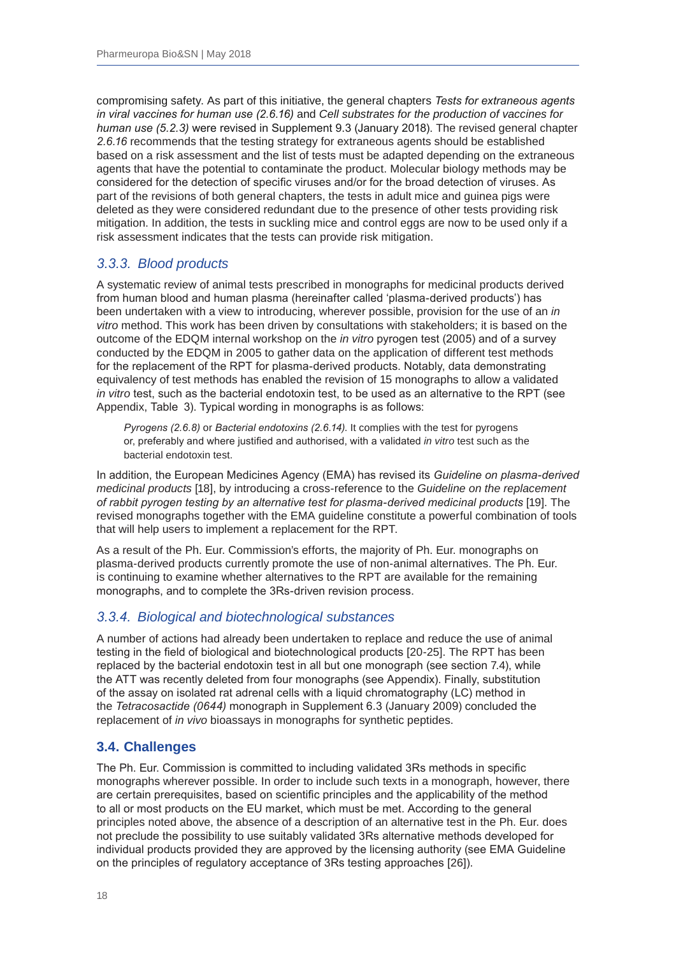compromising safety. As part of this initiative, the general chapters *Tests for extraneous agents in viral vaccines for human use (2.6.16)* and *Cell substrates for the production of vaccines for human use (5.2.3)* were revised in Supplement 9.3 (January 2018). The revised general chapter *2.6.16* recommends that the testing strategy for extraneous agents should be established based on a risk assessment and the list of tests must be adapted depending on the extraneous agents that have the potential to contaminate the product. Molecular biology methods may be considered for the detection of specific viruses and/or for the broad detection of viruses. As part of the revisions of both general chapters, the tests in adult mice and guinea pigs were deleted as they were considered redundant due to the presence of other tests providing risk mitigation. In addition, the tests in suckling mice and control eggs are now to be used only if a risk assessment indicates that the tests can provide risk mitigation.

#### *3.3.3. Blood products*

A systematic review of animal tests prescribed in monographs for medicinal products derived from human blood and human plasma (hereinafter called 'plasma-derived products') has been undertaken with a view to introducing, wherever possible, provision for the use of an *in vitro* method. This work has been driven by consultations with stakeholders; it is based on the outcome of the EDQM internal workshop on the *in vitro* pyrogen test (2005) and of a survey conducted by the EDQM in 2005 to gather data on the application of different test methods for the replacement of the RPT for plasma-derived products. Notably, data demonstrating equivalency of test methods has enabled the revision of 15 monographs to allow a validated *in vitro* test, such as the bacterial endotoxin test, to be used as an alternative to the RPT (see Appendix, [Table](#page-23-0) 3). Typical wording in monographs is as follows:

*Pyrogens (2.6.8)* or *Bacterial endotoxins (2.6.14)*. It complies with the test for pyrogens or, preferably and where justified and authorised, with a validated *in vitro* test such as the bacterial endotoxin test.

In addition, the European Medicines Agency (EMA) has revised its *Guideline on plasma-derived medicinal products* [\[18\]](#page-14-1), by introducing a cross-reference to the *Guideline on the replacement of rabbit pyrogen testing by an alternative test for plasma-derived medicinal products* [\[19\]](#page-14-2). The revised monographs together with the EMA guideline constitute a powerful combination of tools that will help users to implement a replacement for the RPT.

As a result of the Ph. Eur. Commission's efforts, the majority of Ph. Eur. monographs on plasma-derived products currently promote the use of non-animal alternatives. The Ph. Eur. is continuing to examine whether alternatives to the RPT are available for the remaining monographs, and to complete the 3Rs-driven revision process.

#### *3.3.4. Biological and biotechnological substances*

A number of actions had already been undertaken to replace and reduce the use of animal testing in the field of biological and biotechnological products [[20-](#page-14-3)[25](#page-14-4)]. The RPT has been replaced by the bacterial endotoxin test in all but one monograph (see section [7.4](#page-12-0)), while the ATT was recently deleted from four monographs (see Appendix). Finally, substitution of the assay on isolated rat adrenal cells with a liquid chromatography (LC) method in the *Tetracosactide (0644)* monograph in Supplement 6.3 (January 2009) concluded the replacement of *in vivo* bioassays in monographs for synthetic peptides.

#### **3.4. Challenges**

The Ph. Eur. Commission is committed to including validated 3Rs methods in specific monographs wherever possible. In order to include such texts in a monograph, however, there are certain prerequisites, based on scientific principles and the applicability of the method to all or most products on the EU market, which must be met. According to the general principles noted above, the absence of a description of an alternative test in the Ph. Eur. does not preclude the possibility to use suitably validated 3Rs alternative methods developed for individual products provided they are approved by the licensing authority (see EMA Guideline on the principles of regulatory acceptance of 3Rs testing approaches [[26](#page-14-5)]).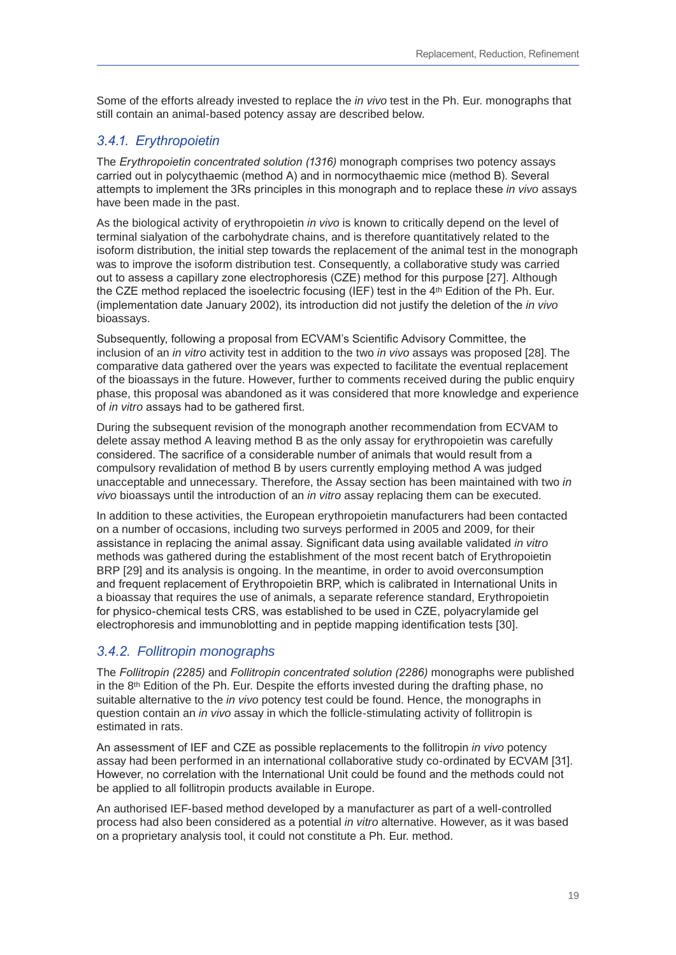Some of the efforts already invested to replace the *in vivo* test in the Ph. Eur. monographs that still contain an animal-based potency assay are described below.

#### <span id="page-7-0"></span>*3.4.1. Erythropoietin*

The *Erythropoietin concentrated solution (1316)* monograph comprises two potency assays carried out in polycythaemic (method A) and in normocythaemic mice (method B). Several attempts to implement the 3Rs principles in this monograph and to replace these *in vivo* assays have been made in the past.

As the biological activity of erythropoietin *in vivo* is known to critically depend on the level of terminal sialyation of the carbohydrate chains, and is therefore quantitatively related to the isoform distribution, the initial step towards the replacement of the animal test in the monograph was to improve the isoform distribution test. Consequently, a collaborative study was carried out to assess a capillary zone electrophoresis (CZE) method for this purpose [[27\]](#page-14-6). Although the CZE method replaced the isoelectric focusing (IEF) test in the 4th Edition of the Ph. Eur. (implementation date January 2002), its introduction did not justify the deletion of the *in vivo* bioassays.

Subsequently, following a proposal from ECVAM's Scientific Advisory Committee, the inclusion of an *in vitro* activity test in addition to the two *in vivo* assays was proposed [\[28](#page-14-7)]. The comparative data gathered over the years was expected to facilitate the eventual replacement of the bioassays in the future. However, further to comments received during the public enquiry phase, this proposal was abandoned as it was considered that more knowledge and experience of *in vitro* assays had to be gathered first.

During the subsequent revision of the monograph another recommendation from ECVAM to delete assay method A leaving method B as the only assay for erythropoietin was carefully considered. The sacrifice of a considerable number of animals that would result from a compulsory revalidation of method B by users currently employing method A was judged unacceptable and unnecessary. Therefore, the Assay section has been maintained with two *in vivo* bioassays until the introduction of an *in vitro* assay replacing them can be executed.

In addition to these activities, the European erythropoietin manufacturers had been contacted on a number of occasions, including two surveys performed in 2005 and 2009, for their assistance in replacing the animal assay. Significant data using available validated *in vitro*  methods was gathered during the establishment of the most recent batch of Erythropoietin BRP [\[29\]](#page-14-8) and its analysis is ongoing. In the meantime, in order to avoid overconsumption and frequent replacement of Erythropoietin BRP, which is calibrated in International Units in a bioassay that requires the use of animals, a separate reference standard, Erythropoietin for physico-chemical tests CRS, was established to be used in CZE, polyacrylamide gel electrophoresis and immunoblotting and in peptide mapping identification tests [[30](#page-14-9)].

#### *3.4.2. Follitropin monographs*

The *Follitropin (2285)* and *Follitropin concentrated solution (2286)* monographs were published in the 8<sup>th</sup> Edition of the Ph. Eur. Despite the efforts invested during the drafting phase, no suitable alternative to the *in vivo* potency test could be found. Hence, the monographs in question contain an *in vivo* assay in which the follicle-stimulating activity of follitropin is estimated in rats.

An assessment of IEF and CZE as possible replacements to the follitropin *in vivo* potency assay had been performed in an international collaborative study co-ordinated by ECVAM [[31](#page-14-10)]. However, no correlation with the International Unit could be found and the methods could not be applied to all follitropin products available in Europe.

An authorised IEF-based method developed by a manufacturer as part of a well-controlled process had also been considered as a potential *in vitro* alternative. However, as it was based on a proprietary analysis tool, it could not constitute a Ph. Eur. method.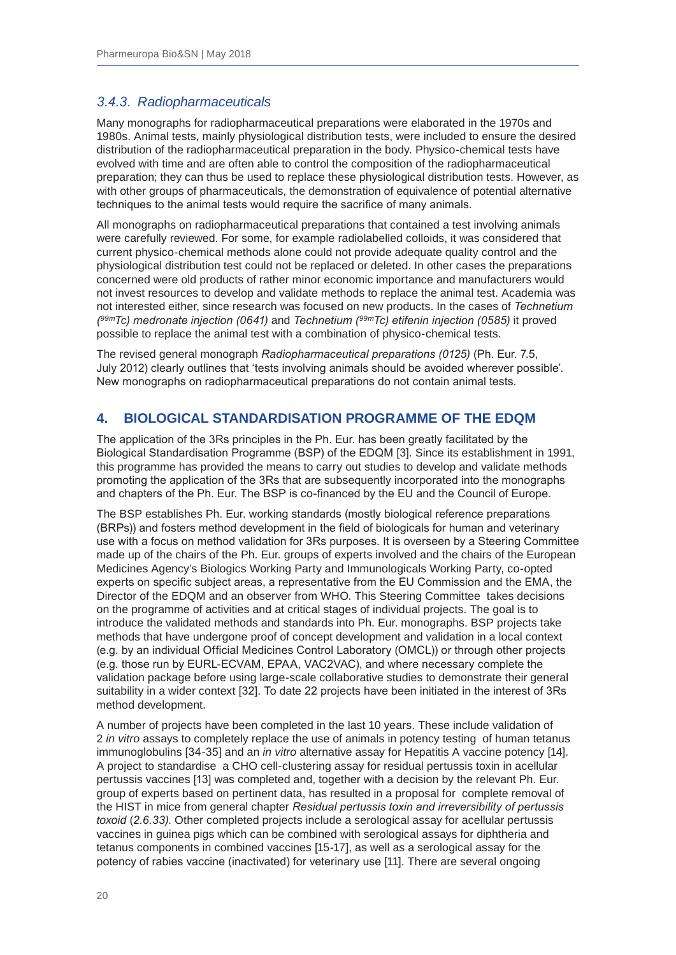#### *3.4.3. Radiopharmaceuticals*

Many monographs for radiopharmaceutical preparations were elaborated in the 1970s and 1980s. Animal tests, mainly physiological distribution tests, were included to ensure the desired distribution of the radiopharmaceutical preparation in the body. Physico-chemical tests have evolved with time and are often able to control the composition of the radiopharmaceutical preparation; they can thus be used to replace these physiological distribution tests. However, as with other groups of pharmaceuticals, the demonstration of equivalence of potential alternative techniques to the animal tests would require the sacrifice of many animals.

All monographs on radiopharmaceutical preparations that contained a test involving animals were carefully reviewed. For some, for example radiolabelled colloids, it was considered that current physico-chemical methods alone could not provide adequate quality control and the physiological distribution test could not be replaced or deleted. In other cases the preparations concerned were old products of rather minor economic importance and manufacturers would not invest resources to develop and validate methods to replace the animal test. Academia was not interested either, since research was focused on new products. In the cases of *Technetium (99mTc) medronate injection (0641)* and *Technetium (99mTc) etifenin injection (0585)* it proved possible to replace the animal test with a combination of physico-chemical tests.

The revised general monograph *Radiopharmaceutical preparations (0125)* (Ph. Eur. 7.5, July 2012) clearly outlines that 'tests involving animals should be avoided wherever possible'. New monographs on radiopharmaceutical preparations do not contain animal tests.

#### <span id="page-8-0"></span>**4. BIOLOGICAL STANDARDISATION PROGRAMME OF THE EDQM**

The application of the 3Rs principles in the Ph. Eur. has been greatly facilitated by the Biological Standardisation Programme (BSP) of the EDQM [[3](#page-13-2)]. Since its establishment in 1991, this programme has provided the means to carry out studies to develop and validate methods promoting the application of the 3Rs that are subsequently incorporated into the monographs and chapters of the Ph. Eur. The BSP is co-financed by the EU and the Council of Europe.

The BSP establishes Ph. Eur. working standards (mostly biological reference preparations (BRPs)) and fosters method development in the field of biologicals for human and veterinary use with a focus on method validation for 3Rs purposes. It is overseen by a Steering Committee made up of the chairs of the Ph. Eur. groups of experts involved and the chairs of the European Medicines Agency's Biologics Working Party and Immunologicals Working Party, co-opted experts on specific subject areas, a representative from the EU Commission and the EMA, the Director of the EDQM and an observer from WHO. This Steering Committee takes decisions on the programme of activities and at critical stages of individual projects. The goal is to introduce the validated methods and standards into Ph. Eur. monographs. BSP projects take methods that have undergone proof of concept development and validation in a local context (e.g. by an individual Official Medicines Control Laboratory (OMCL)) or through other projects (e.g. those run by EURL-ECVAM, EPAA, VAC2VAC), and where necessary complete the validation package before using large-scale collaborative studies to demonstrate their general suitability in a wider context [[32](#page-14-11)]. To date 22 projects have been initiated in the interest of 3Rs method development.

A number of projects have been completed in the last 10 years. These include validation of 2 *in vitro* assays to completely replace the use of animals in potency testing of human tetanus immunoglobulins [[34](#page-15-0)-[35](#page-15-1)] and an *in vitro* alternative assay for Hepatitis A vaccine potency [\[14](#page-13-13)]. A project to standardise a CHO cell-clustering assay for residual pertussis toxin in acellular pertussis vaccines [[13](#page-13-12)] was completed and, together with a decision by the relevant Ph. Eur. group of experts based on pertinent data, has resulted in a proposal for complete removal of the HIST in mice from general chapter *Residual pertussis toxin and irreversibility of pertussis toxoid* (*2.6.33)*. Other completed projects include a serological assay for acellular pertussis vaccines in guinea pigs which can be combined with serological assays for diphtheria and tetanus components in combined vaccines [\[15](#page-13-14)[-17](#page-14-0)], as well as a serological assay for the potency of rabies vaccine (inactivated) for veterinary use [\[11\]](#page-13-10). There are several ongoing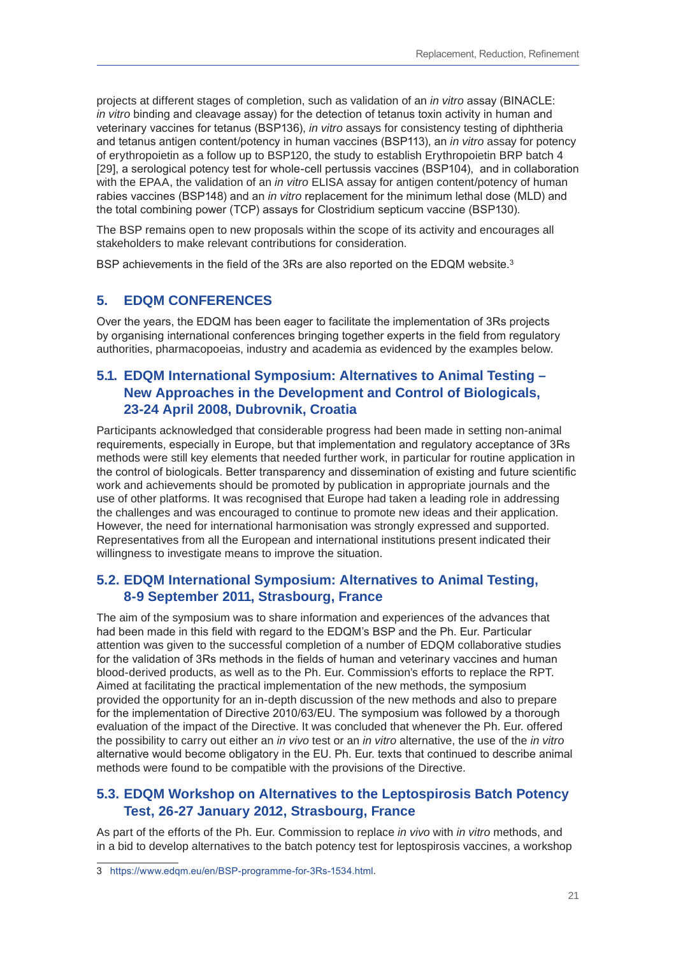projects at different stages of completion, such as validation of an *in vitro* assay (BINACLE: *in vitro* binding and cleavage assay) for the detection of tetanus toxin activity in human and veterinary vaccines for tetanus (BSP136), *in vitro* assays for consistency testing of diphtheria and tetanus antigen content/potency in human vaccines (BSP113), an *in vitro* assay for potency of erythropoietin as a follow up to BSP120, the study to establish Erythropoietin BRP batch 4 [[29](#page-14-8)], a serological potency test for whole-cell pertussis vaccines (BSP104), and in collaboration with the EPAA, the validation of an *in vitro* ELISA assay for antigen content/potency of human rabies vaccines (BSP148) and an *in vitro* replacement for the minimum lethal dose (MLD) and the total combining power (TCP) assays for Clostridium septicum vaccine (BSP130).

The BSP remains open to new proposals within the scope of its activity and encourages all stakeholders to make relevant contributions for consideration.

BSP achievements in the field of the 3Rs are also reported on the EDQM website.<sup>3</sup>

#### **5. EDQM CONFERENCES**

Over the years, the EDQM has been eager to facilitate the implementation of 3Rs projects by organising international conferences bringing together experts in the field from regulatory authorities, pharmacopoeias, industry and academia as evidenced by the examples below.

# **5.1. EDQM International Symposium: Alternatives to Animal Testing – New Approaches in the Development and Control of Biologicals, 23-24 April 2008, Dubrovnik, Croatia**

Participants acknowledged that considerable progress had been made in setting non-animal requirements, especially in Europe, but that implementation and regulatory acceptance of 3Rs methods were still key elements that needed further work, in particular for routine application in the control of biologicals. Better transparency and dissemination of existing and future scientific work and achievements should be promoted by publication in appropriate journals and the use of other platforms. It was recognised that Europe had taken a leading role in addressing the challenges and was encouraged to continue to promote new ideas and their application. However, the need for international harmonisation was strongly expressed and supported. Representatives from all the European and international institutions present indicated their willingness to investigate means to improve the situation.

# **5.2. EDQM International Symposium: Alternatives to Animal Testing, 8-9 September 2011, Strasbourg, France**

The aim of the symposium was to share information and experiences of the advances that had been made in this field with regard to the EDQM's BSP and the Ph. Eur. Particular attention was given to the successful completion of a number of EDQM collaborative studies for the validation of 3Rs methods in the fields of human and veterinary vaccines and human blood-derived products, as well as to the Ph. Eur. Commission's efforts to replace the RPT. Aimed at facilitating the practical implementation of the new methods, the symposium provided the opportunity for an in-depth discussion of the new methods and also to prepare for the implementation of Directive 2010/63/EU. The symposium was followed by a thorough evaluation of the impact of the Directive. It was concluded that whenever the Ph. Eur. offered the possibility to carry out either an *in vivo* test or an *in vitro* alternative, the use of the *in vitro* alternative would become obligatory in the EU. Ph. Eur. texts that continued to describe animal methods were found to be compatible with the provisions of the Directive.

#### **5.3. EDQM Workshop on Alternatives to the Leptospirosis Batch Potency Test, 26-27 January 2012, Strasbourg, France**

As part of the efforts of the Ph. Eur. Commission to replace *in vivo* with *in vitro* methods, and in a bid to develop alternatives to the batch potency test for leptospirosis vaccines, a workshop

<sup>3</sup> <https://www.edqm.eu/en/BSP-programme-for-3Rs-1534.html>.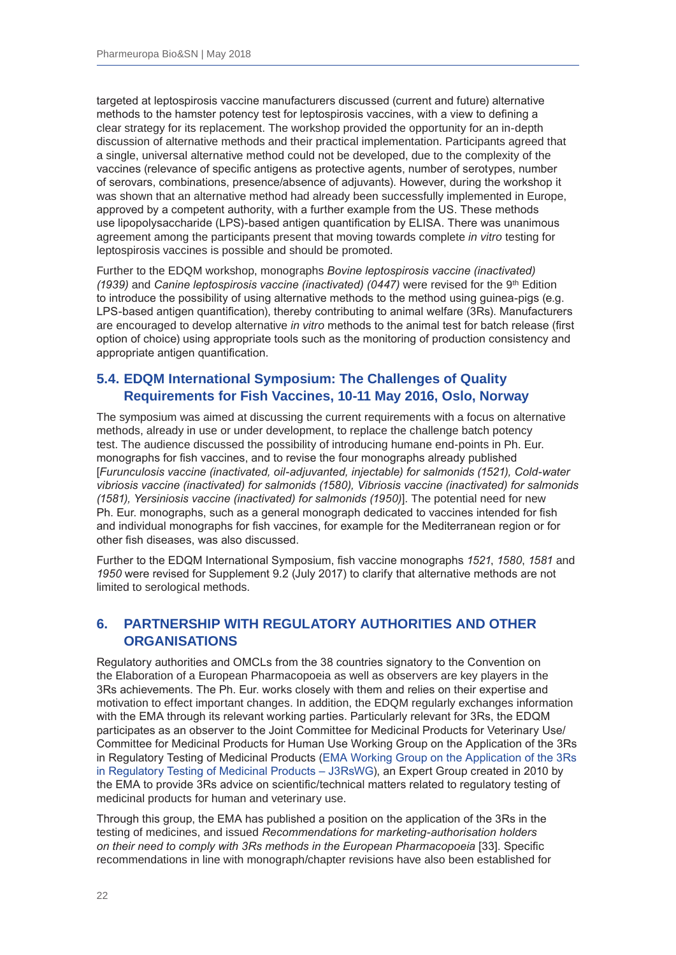targeted at leptospirosis vaccine manufacturers discussed (current and future) alternative methods to the hamster potency test for leptospirosis vaccines, with a view to defining a clear strategy for its replacement. The workshop provided the opportunity for an in-depth discussion of alternative methods and their practical implementation. Participants agreed that a single, universal alternative method could not be developed, due to the complexity of the vaccines (relevance of specific antigens as protective agents, number of serotypes, number of serovars, combinations, presence/absence of adjuvants). However, during the workshop it was shown that an alternative method had already been successfully implemented in Europe, approved by a competent authority, with a further example from the US. These methods use lipopolysaccharide (LPS)-based antigen quantification by ELISA. There was unanimous agreement among the participants present that moving towards complete *in vitro* testing for leptospirosis vaccines is possible and should be promoted.

Further to the EDQM workshop, monographs *Bovine leptospirosis vaccine (inactivated) (1939)* and *Canine leptospirosis vaccine (inactivated) (0447)* were revised for the 9th Edition to introduce the possibility of using alternative methods to the method using guinea-pigs (e.g. LPS-based antigen quantification), thereby contributing to animal welfare (3Rs). Manufacturers are encouraged to develop alternative *in vitro* methods to the animal test for batch release (first option of choice) using appropriate tools such as the monitoring of production consistency and appropriate antigen quantification.

### **5.4. EDQM International Symposium: The Challenges of Quality Requirements for Fish Vaccines, 10-11 May 2016, Oslo, Norway**

The symposium was aimed at discussing the current requirements with a focus on alternative methods, already in use or under development, to replace the challenge batch potency test. The audience discussed the possibility of introducing humane end-points in Ph. Eur. monographs for fish vaccines, and to revise the four monographs already published [*Furunculosis vaccine (inactivated, oil-adjuvanted, injectable) for salmonids (1521), Cold-water vibriosis vaccine (inactivated) for salmonids (1580), Vibriosis vaccine (inactivated) for salmonids (1581), Yersiniosis vaccine (inactivated) for salmonids (1950)*]. The potential need for new Ph. Eur. monographs, such as a general monograph dedicated to vaccines intended for fish and individual monographs for fish vaccines, for example for the Mediterranean region or for other fish diseases, was also discussed.

Further to the EDQM International Symposium, fish vaccine monographs *1521*, *1580*, *1581* and *1950* were revised for Supplement 9.2 (July 2017) to clarify that alternative methods are not limited to serological methods.

# <span id="page-10-0"></span>**6. PARTNERSHIP WITH REGULATORY AUTHORITIES AND OTHER ORGANISATIONS**

Regulatory authorities and OMCLs from the 38 countries signatory to the Convention on the Elaboration of a European Pharmacopoeia as well as observers are key players in the 3Rs achievements. The Ph. Eur. works closely with them and relies on their expertise and motivation to effect important changes. In addition, the EDQM regularly exchanges information with the EMA through its relevant working parties. Particularly relevant for 3Rs, the EDQM participates as an observer to the Joint Committee for Medicinal Products for Veterinary Use/ Committee for Medicinal Products for Human Use Working Group on the Application of the 3Rs in Regulatory Testing of Medicinal Products [\(EMA Working Group on the Application of the 3Rs](http://www.ema.europa.eu/ema/index.jsp%3Fcurl%3Dpages/contacts/CVMP/people_listing_000094.jsp%26mid%3DWC0b01ac05803a9d6d)  [in Regulatory Testing of Medicinal Products – J3RsWG\)](http://www.ema.europa.eu/ema/index.jsp%3Fcurl%3Dpages/contacts/CVMP/people_listing_000094.jsp%26mid%3DWC0b01ac05803a9d6d), an Expert Group created in 2010 by the EMA to provide 3Rs advice on scientific/technical matters related to regulatory testing of medicinal products for human and veterinary use.

Through this group, the EMA has published a position on the application of the 3Rs in the testing of medicines, and issued *Recommendations for marketing-authorisation holders on their need to comply with 3Rs methods in the European Pharmacopoeia* [[33\]](#page-14-12). Specific recommendations in line with monograph/chapter revisions have also been established for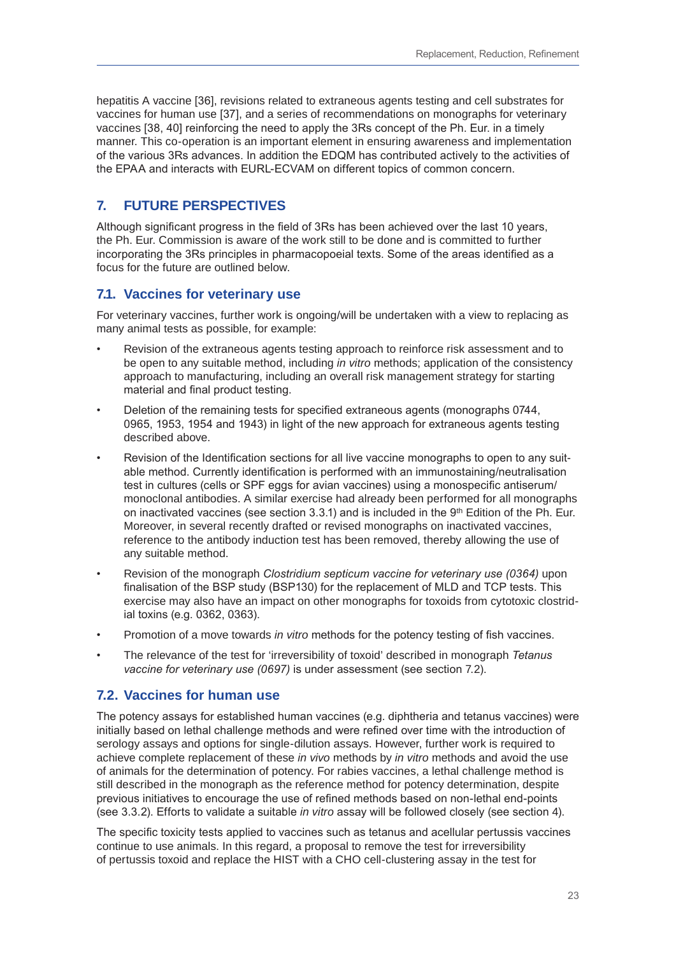hepatitis A vaccine [[36](#page-15-2)], revisions related to extraneous agents testing and cell substrates for vaccines for human use [[37](#page-15-3)], and a series of recommendations on monographs for veterinary vaccines [[38](#page-15-4), 40] reinforcing the need to apply the 3Rs concept of the Ph. Eur. in a timely manner. This co-operation is an important element in ensuring awareness and implementation of the various 3Rs advances. In addition the EDQM has contributed actively to the activities of the EPAA and interacts with EURL-ECVAM on different topics of common concern.

# <span id="page-11-0"></span>**7. FUTURE PERSPECTIVES**

Although significant progress in the field of 3Rs has been achieved over the last 10 years, the Ph. Eur. Commission is aware of the work still to be done and is committed to further incorporating the 3Rs principles in pharmacopoeial texts. Some of the areas identified as a focus for the future are outlined below.

#### **7.1. Vaccines for veterinary use**

For veterinary vaccines, further work is ongoing/will be undertaken with a view to replacing as many animal tests as possible, for example:

- Revision of the extraneous agents testing approach to reinforce risk assessment and to be open to any suitable method, including *in vitro* methods; application of the consistency approach to manufacturing, including an overall risk management strategy for starting material and final product testing.
- Deletion of the remaining tests for specified extraneous agents (monographs 0744, 0965, 1953, 1954 and 1943) in light of the new approach for extraneous agents testing described above.
- Revision of the Identification sections for all live vaccine monographs to open to any suitable method. Currently identification is performed with an immunostaining/neutralisation test in cultures (cells or SPF eggs for avian vaccines) using a monospecific antiserum/ monoclonal antibodies. A similar exercise had already been performed for all monographs on inactivated vaccines (see section 3.3.1) and is included in the 9th Edition of the Ph. Eur. Moreover, in several recently drafted or revised monographs on inactivated vaccines, reference to the antibody induction test has been removed, thereby allowing the use of any suitable method.
- Revision of the monograph *Clostridium septicum vaccine for veterinary use (0364)* upon finalisation of the BSP study (BSP130) for the replacement of MLD and TCP tests. This exercise may also have an impact on other monographs for toxoids from cytotoxic clostridial toxins (e.g. 0362, 0363).
- Promotion of a move towards *in vitro* methods for the potency testing of fish vaccines.
- The relevance of the test for 'irreversibility of toxoid' described in monograph *Tetanus vaccine for veterinary use (0697)* is under assessment (see section [7.2](#page-11-1)).

#### <span id="page-11-1"></span>**7.2. Vaccines for human use**

The potency assays for established human vaccines (e.g. diphtheria and tetanus vaccines) were initially based on lethal challenge methods and were refined over time with the introduction of serology assays and options for single-dilution assays. However, further work is required to achieve complete replacement of these *in vivo* methods by *in vitro* methods and avoid the use of animals for the determination of potency. For rabies vaccines, a lethal challenge method is still described in the monograph as the reference method for potency determination, despite previous initiatives to encourage the use of refined methods based on non-lethal end-points (see [3.3.2](#page-5-0)). Efforts to validate a suitable *in vitro* assay will be followed closely (see section [4](#page-8-0)).

The specific toxicity tests applied to vaccines such as tetanus and acellular pertussis vaccines continue to use animals. In this regard, a proposal to remove the test for irreversibility of pertussis toxoid and replace the HIST with a CHO cell-clustering assay in the test for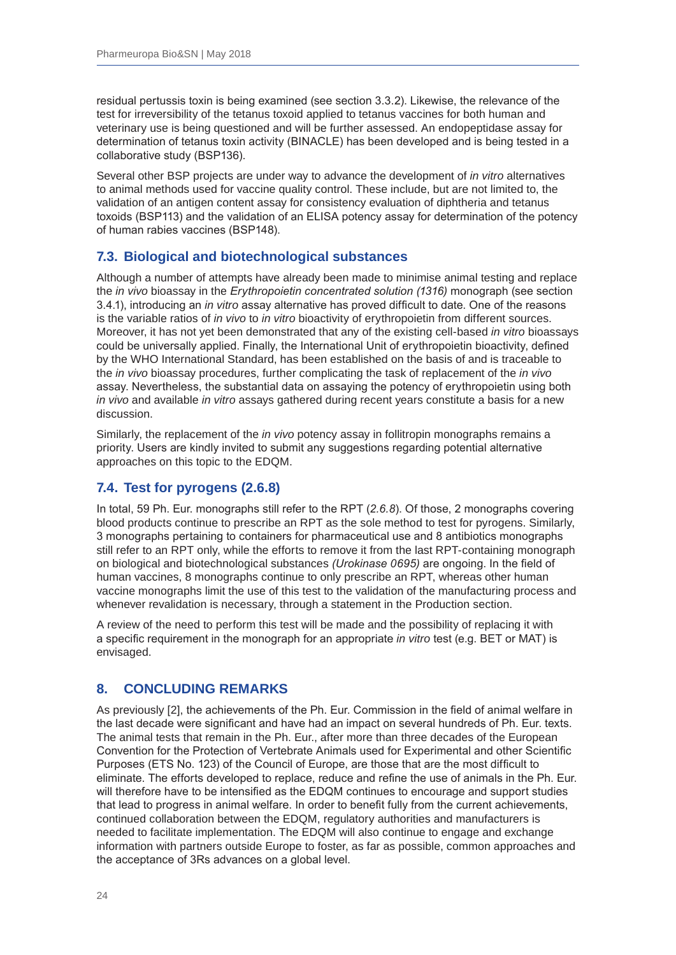residual pertussis toxin is being examined (see section [3.3.2\)](#page-5-0). Likewise, the relevance of the test for irreversibility of the tetanus toxoid applied to tetanus vaccines for both human and veterinary use is being questioned and will be further assessed. An endopeptidase assay for determination of tetanus toxin activity (BINACLE) has been developed and is being tested in a collaborative study (BSP136).

Several other BSP projects are under way to advance the development of *in vitro* alternatives to animal methods used for vaccine quality control. These include, but are not limited to, the validation of an antigen content assay for consistency evaluation of diphtheria and tetanus toxoids (BSP113) and the validation of an ELISA potency assay for determination of the potency of human rabies vaccines (BSP148).

# **7.3. Biological and biotechnological substances**

Although a number of attempts have already been made to minimise animal testing and replace the *in vivo* bioassay in the *Erythropoietin concentrated solution (1316)* monograph (see section [3.4.1\)](#page-7-0), introducing an *in vitro* assay alternative has proved difficult to date. One of the reasons is the variable ratios of *in vivo* to *in vitro* bioactivity of erythropoietin from different sources. Moreover, it has not yet been demonstrated that any of the existing cell-based *in vitro* bioassays could be universally applied. Finally, the International Unit of erythropoietin bioactivity, defined by the WHO International Standard, has been established on the basis of and is traceable to the *in vivo* bioassay procedures, further complicating the task of replacement of the *in vivo* assay. Nevertheless, the substantial data on assaying the potency of erythropoietin using both *in vivo* and available *in vitro* assays gathered during recent years constitute a basis for a new discussion.

Similarly, the replacement of the *in vivo* potency assay in follitropin monographs remains a priority. Users are kindly invited to submit any suggestions regarding potential alternative approaches on this topic to the EDQM.

#### <span id="page-12-0"></span>**7.4. Test for pyrogens (2.6.8)**

In total, 59 Ph. Eur. monographs still refer to the RPT (*2.6.8*). Of those, 2 monographs covering blood products continue to prescribe an RPT as the sole method to test for pyrogens. Similarly, 3 monographs pertaining to containers for pharmaceutical use and 8 antibiotics monographs still refer to an RPT only, while the efforts to remove it from the last RPT-containing monograph on biological and biotechnological substances *(Urokinase 0695)* are ongoing. In the field of human vaccines, 8 monographs continue to only prescribe an RPT, whereas other human vaccine monographs limit the use of this test to the validation of the manufacturing process and whenever revalidation is necessary, through a statement in the Production section.

A review of the need to perform this test will be made and the possibility of replacing it with a specific requirement in the monograph for an appropriate *in vitro* test (e.g. BET or MAT) is envisaged.

#### **8. CONCLUDING REMARKS**

As previously [\[2](#page-13-1)], the achievements of the Ph. Eur. Commission in the field of animal welfare in the last decade were significant and have had an impact on several hundreds of Ph. Eur. texts. The animal tests that remain in the Ph. Eur., after more than three decades of the European Convention for the Protection of Vertebrate Animals used for Experimental and other Scientific Purposes (ETS No. 123) of the Council of Europe, are those that are the most difficult to eliminate. The efforts developed to replace, reduce and refine the use of animals in the Ph. Eur. will therefore have to be intensified as the EDQM continues to encourage and support studies that lead to progress in animal welfare. In order to benefit fully from the current achievements, continued collaboration between the EDQM, regulatory authorities and manufacturers is needed to facilitate implementation. The EDQM will also continue to engage and exchange information with partners outside Europe to foster, as far as possible, common approaches and the acceptance of 3Rs advances on a global level.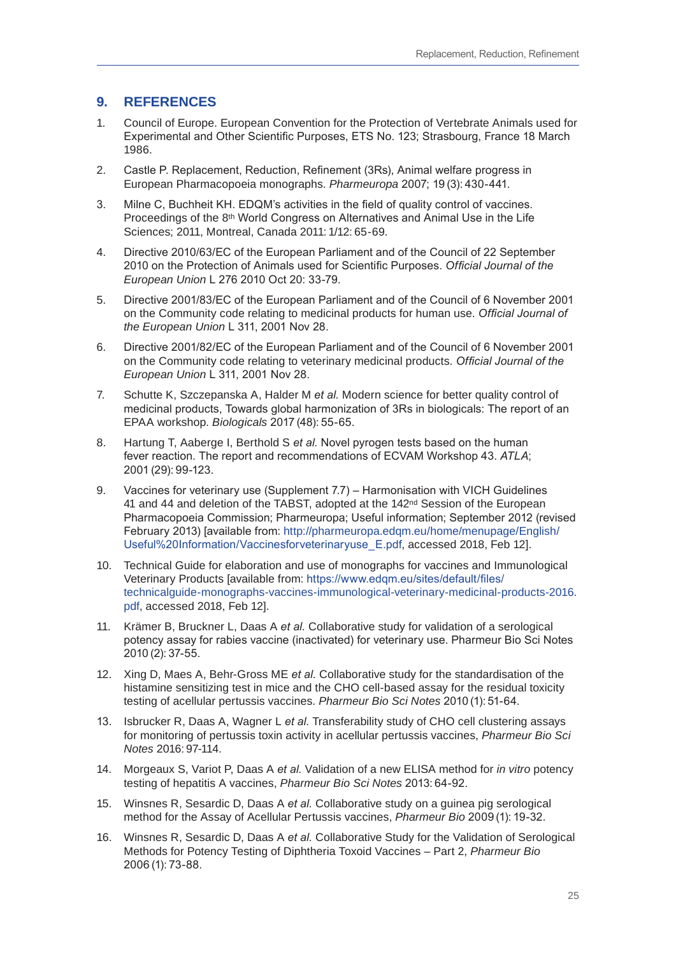#### **9. REFERENCES**

- <span id="page-13-0"></span>1. Council of Europe. European Convention for the Protection of Vertebrate Animals used for Experimental and Other Scientific Purposes, ETS No. 123; Strasbourg, France 18 March 1986.
- <span id="page-13-1"></span>2. Castle P. Replacement, Reduction, Refinement (3Rs), Animal welfare progress in European Pharmacopoeia monographs. *Pharmeuropa* 2007; 19 (3): 430-441.
- <span id="page-13-2"></span>3. Milne C, Buchheit KH. EDQM's activities in the field of quality control of vaccines. Proceedings of the 8th World Congress on Alternatives and Animal Use in the Life Sciences; 2011, Montreal, Canada 2011: 1/12: 65-69.
- <span id="page-13-3"></span>4. Directive 2010/63/EC of the European Parliament and of the Council of 22 September 2010 on the Protection of Animals used for Scientific Purposes. *Official Journal of the European Union* L 276 2010 Oct 20: 33-79.
- <span id="page-13-4"></span>5. Directive 2001/83/EC of the European Parliament and of the Council of 6 November 2001 on the Community code relating to medicinal products for human use. *Official Journal of the European Union* L 311, 2001 Nov 28.
- <span id="page-13-5"></span>6. Directive 2001/82/EC of the European Parliament and of the Council of 6 November 2001 on the Community code relating to veterinary medicinal products. *Official Journal of the European Union* L 311, 2001 Nov 28.
- <span id="page-13-6"></span>7. Schutte K, Szczepanska A, Halder M *et al.* Modern science for better quality control of medicinal products, Towards global harmonization of 3Rs in biologicals: The report of an EPAA workshop. *Biologicals* 2017 (48): 55-65.
- <span id="page-13-7"></span>8. Hartung T, Aaberge I, Berthold S *et al.* Novel pyrogen tests based on the human fever reaction. The report and recommendations of ECVAM Workshop 43. *ATLA*; 2001 (29): 99-123.
- <span id="page-13-8"></span>9. Vaccines for veterinary use (Supplement 7.7) – Harmonisation with VICH Guidelines 41 and 44 and deletion of the TABST, adopted at the 142nd Session of the European Pharmacopoeia Commission; Pharmeuropa; Useful information; September 2012 (revised February 2013) [available from: [http://pharmeuropa.edqm.eu/home/menupage/English/](http://pharmeuropa.edqm.eu/home/menupage/English/Useful%2520Information/Vaccinesforveterinaryuse_E.pdf) [Useful%20Information/Vaccinesforveterinaryuse\\_E.pdf](http://pharmeuropa.edqm.eu/home/menupage/English/Useful%2520Information/Vaccinesforveterinaryuse_E.pdf), accessed 2018, Feb 12].
- <span id="page-13-9"></span>10. Technical Guide for elaboration and use of monographs for vaccines and Immunological Veterinary Products [available from: [https://www.edqm.eu/sites/default/files/](https://www.edqm.eu/sites/default/files/technicalguide-monographs-vaccines-immunological-veterinary-medicinal-products-2016.pdf) [technicalguide-monographs-vaccines-immunological-veterinary-medicinal-products-2016.](https://www.edqm.eu/sites/default/files/technicalguide-monographs-vaccines-immunological-veterinary-medicinal-products-2016.pdf) [pdf,](https://www.edqm.eu/sites/default/files/technicalguide-monographs-vaccines-immunological-veterinary-medicinal-products-2016.pdf) accessed 2018, Feb 12].
- <span id="page-13-10"></span>11. Krämer B, Bruckner L, Daas A *et al.* Collaborative study for validation of a serological potency assay for rabies vaccine (inactivated) for veterinary use. Pharmeur Bio Sci Notes 2010 (2): 37-55.
- <span id="page-13-11"></span>12. Xing D, Maes A, Behr-Gross ME *et al.* Collaborative study for the standardisation of the histamine sensitizing test in mice and the CHO cell-based assay for the residual toxicity testing of acellular pertussis vaccines. *Pharmeur Bio Sci Notes* 2010 (1): 51-64.
- <span id="page-13-12"></span>13. Isbrucker R, Daas A, Wagner L *et al.* Transferability study of CHO cell clustering assays for monitoring of pertussis toxin activity in acellular pertussis vaccines, *Pharmeur Bio Sci Notes* 2016: 97-114.
- <span id="page-13-13"></span>14. Morgeaux S, Variot P, Daas A *et al.* Validation of a new ELISA method for *in vitro* potency testing of hepatitis A vaccines, *Pharmeur Bio Sci Notes* 2013: 64-92.
- <span id="page-13-14"></span>15. Winsnes R, Sesardic D, Daas A *et al.* Collaborative study on a guinea pig serological method for the Assay of Acellular Pertussis vaccines, *Pharmeur Bio* 2009 (1): 19-32.
- 16. Winsnes R, Sesardic D, Daas A *et al.* Collaborative Study for the Validation of Serological Methods for Potency Testing of Diphtheria Toxoid Vaccines – Part 2, *Pharmeur Bio* 2006 (1): 73-88.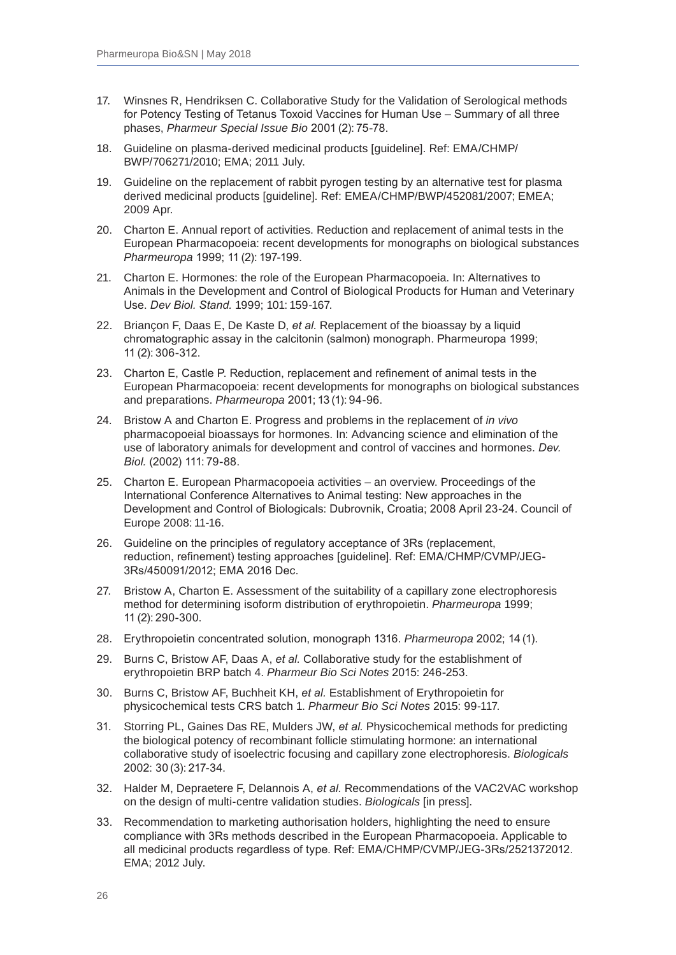- <span id="page-14-0"></span>17. Winsnes R, Hendriksen C. Collaborative Study for the Validation of Serological methods for Potency Testing of Tetanus Toxoid Vaccines for Human Use – Summary of all three phases, *Pharmeur Special Issue Bio* 2001 (2): 75-78.
- <span id="page-14-1"></span>18. Guideline on plasma-derived medicinal products [guideline]. Ref: EMA/CHMP/ BWP/706271/2010; EMA; 2011 July.
- <span id="page-14-2"></span>19. Guideline on the replacement of rabbit pyrogen testing by an alternative test for plasma derived medicinal products [guideline]. Ref: EMEA/CHMP/BWP/452081/2007; EMEA; 2009 Apr.
- <span id="page-14-3"></span>20. Charton E. Annual report of activities. Reduction and replacement of animal tests in the European Pharmacopoeia: recent developments for monographs on biological substances *Pharmeuropa* 1999; 11 (2): 197-199.
- 21. Charton E. Hormones: the role of the European Pharmacopoeia. In: Alternatives to Animals in the Development and Control of Biological Products for Human and Veterinary Use. *Dev Biol. Stand.* 1999; 101: 159-167.
- 22. Briançon F, Daas E, De Kaste D, *et al.* Replacement of the bioassay by a liquid chromatographic assay in the calcitonin (salmon) monograph. Pharmeuropa 1999; 11 (2): 306-312.
- 23. Charton E, Castle P. Reduction, replacement and refinement of animal tests in the European Pharmacopoeia: recent developments for monographs on biological substances and preparations. *Pharmeuropa* 2001; 13 (1): 94-96.
- 24. Bristow A and Charton E. Progress and problems in the replacement of *in vivo* pharmacopoeial bioassays for hormones. In: Advancing science and elimination of the use of laboratory animals for development and control of vaccines and hormones. *Dev. Biol.* (2002) 111: 79-88.
- <span id="page-14-4"></span>25. Charton E. European Pharmacopoeia activities – an overview. Proceedings of the International Conference Alternatives to Animal testing: New approaches in the Development and Control of Biologicals: Dubrovnik, Croatia; 2008 April 23-24. Council of Europe 2008: 11-16.
- <span id="page-14-5"></span>26. Guideline on the principles of regulatory acceptance of 3Rs (replacement, reduction, refinement) testing approaches [guideline]. Ref: EMA/CHMP/CVMP/JEG-3Rs/450091/2012; EMA 2016 Dec.
- <span id="page-14-6"></span>27. Bristow A, Charton E. Assessment of the suitability of a capillary zone electrophoresis method for determining isoform distribution of erythropoietin. *Pharmeuropa* 1999; 11 (2): 290-300.
- <span id="page-14-7"></span>28. Erythropoietin concentrated solution, monograph 1316. *Pharmeuropa* 2002; 14 (1).
- <span id="page-14-8"></span>29. Burns C, Bristow AF, Daas A, *et al.* Collaborative study for the establishment of erythropoietin BRP batch 4. *Pharmeur Bio Sci Notes* 2015: 246-253.
- <span id="page-14-9"></span>30. Burns C, Bristow AF, Buchheit KH, *et al.* Establishment of Erythropoietin for physicochemical tests CRS batch 1. *Pharmeur Bio Sci Notes* 2015: 99-117.
- <span id="page-14-10"></span>31. Storring PL, Gaines Das RE, Mulders JW, *et al.* Physicochemical methods for predicting the biological potency of recombinant follicle stimulating hormone: an international collaborative study of isoelectric focusing and capillary zone electrophoresis. *Biologicals* 2002: 30 (3): 217-34.
- <span id="page-14-11"></span>32. Halder M, Depraetere F, Delannois A, *et al.* Recommendations of the VAC2VAC workshop on the design of multi-centre validation studies. *Biologicals* [in press].
- <span id="page-14-12"></span>33. Recommendation to marketing authorisation holders, highlighting the need to ensure compliance with 3Rs methods described in the European Pharmacopoeia. Applicable to all medicinal products regardless of type. Ref: EMA/CHMP/CVMP/JEG-3Rs/2521372012. EMA; 2012 July.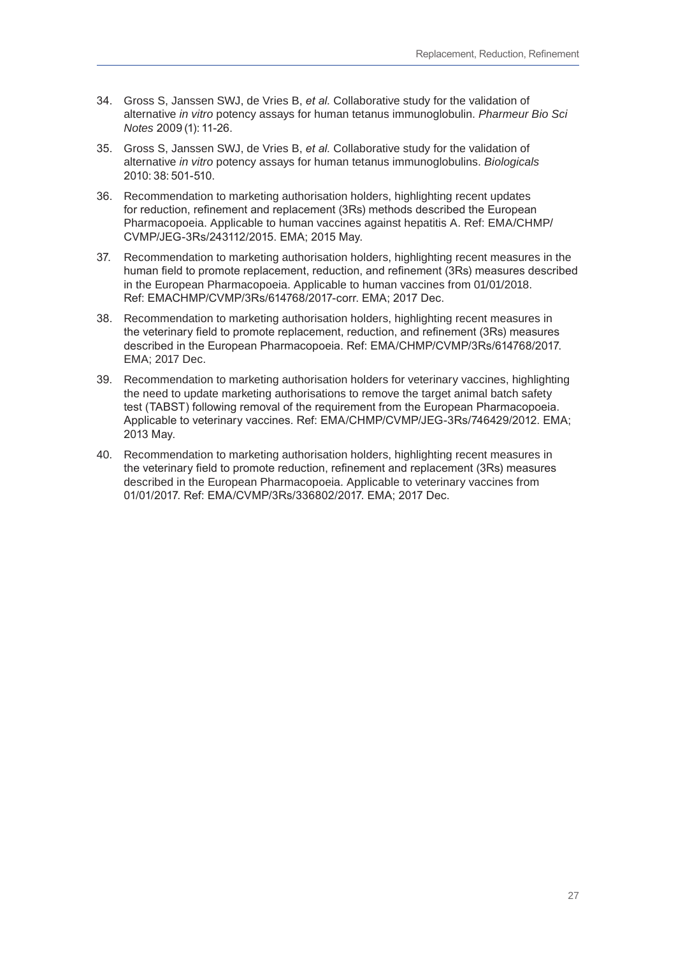- <span id="page-15-0"></span>34. Gross S, Janssen SWJ, de Vries B, *et al.* Collaborative study for the validation of alternative *in vitro* potency assays for human tetanus immunoglobulin. *Pharmeur Bio Sci Notes* 2009 (1): 11-26.
- <span id="page-15-1"></span>35. Gross S, Janssen SWJ, de Vries B, *et al.* Collaborative study for the validation of alternative *in vitro* potency assays for human tetanus immunoglobulins. *Biologicals* 2010: 38: 501-510.
- <span id="page-15-2"></span>36. Recommendation to marketing authorisation holders, highlighting recent updates for reduction, refinement and replacement (3Rs) methods described the European Pharmacopoeia. Applicable to human vaccines against hepatitis A. Ref: EMA/CHMP/ CVMP/JEG-3Rs/243112/2015. EMA; 2015 May.
- 37. Recommendation to marketing authorisation holders, highlighting recent measures in the human field to promote replacement, reduction, and refinement (3Rs) measures described in the European Pharmacopoeia. Applicable to human vaccines from 01/01/2018. Ref: EMACHMP/CVMP/3Rs/614768/2017-corr. EMA; 2017 Dec.
- <span id="page-15-3"></span>38. Recommendation to marketing authorisation holders, highlighting recent measures in the veterinary field to promote replacement, reduction, and refinement (3Rs) measures described in the European Pharmacopoeia. Ref: EMA/CHMP/CVMP/3Rs/614768/2017. EMA; 2017 Dec.
- <span id="page-15-4"></span>39. Recommendation to marketing authorisation holders for veterinary vaccines, highlighting the need to update marketing authorisations to remove the target animal batch safety test (TABST) following removal of the requirement from the European Pharmacopoeia. Applicable to veterinary vaccines. Ref: EMA/CHMP/CVMP/JEG-3Rs/746429/2012. EMA; 2013 May.
- 40. Recommendation to marketing authorisation holders, highlighting recent measures in the veterinary field to promote reduction, refinement and replacement (3Rs) measures described in the European Pharmacopoeia. Applicable to veterinary vaccines from 01/01/2017. Ref: EMA/CVMP/3Rs/336802/2017. EMA; 2017 Dec.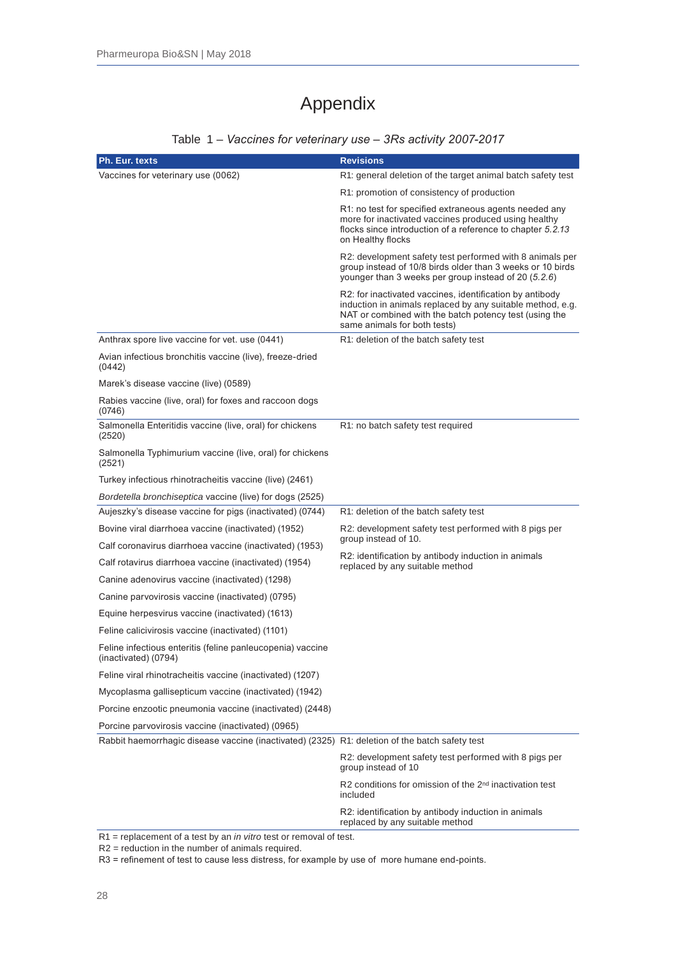# Appendix

| Ph. Eur. texts                                                                                 | <b>Revisions</b>                                                                                                                                                                                                 |  |
|------------------------------------------------------------------------------------------------|------------------------------------------------------------------------------------------------------------------------------------------------------------------------------------------------------------------|--|
| Vaccines for veterinary use (0062)                                                             | R1: general deletion of the target animal batch safety test                                                                                                                                                      |  |
|                                                                                                | R1: promotion of consistency of production                                                                                                                                                                       |  |
|                                                                                                | R1: no test for specified extraneous agents needed any<br>more for inactivated vaccines produced using healthy<br>flocks since introduction of a reference to chapter 5.2.13<br>on Healthy flocks                |  |
|                                                                                                | R2: development safety test performed with 8 animals per<br>group instead of 10/8 birds older than 3 weeks or 10 birds<br>younger than 3 weeks per group instead of 20 (5.2.6)                                   |  |
|                                                                                                | R2: for inactivated vaccines, identification by antibody<br>induction in animals replaced by any suitable method, e.g.<br>NAT or combined with the batch potency test (using the<br>same animals for both tests) |  |
| Anthrax spore live vaccine for vet. use (0441)                                                 | R1: deletion of the batch safety test                                                                                                                                                                            |  |
| Avian infectious bronchitis vaccine (live), freeze-dried<br>(0442)                             |                                                                                                                                                                                                                  |  |
| Marek's disease vaccine (live) (0589)                                                          |                                                                                                                                                                                                                  |  |
| Rabies vaccine (live, oral) for foxes and raccoon dogs<br>(0746)                               |                                                                                                                                                                                                                  |  |
| Salmonella Enteritidis vaccine (live, oral) for chickens<br>(2520)                             | R1: no batch safety test required                                                                                                                                                                                |  |
| Salmonella Typhimurium vaccine (live, oral) for chickens<br>(2521)                             |                                                                                                                                                                                                                  |  |
| Turkey infectious rhinotracheitis vaccine (live) (2461)                                        |                                                                                                                                                                                                                  |  |
| Bordetella bronchiseptica vaccine (live) for dogs (2525)                                       |                                                                                                                                                                                                                  |  |
| Aujeszky's disease vaccine for pigs (inactivated) (0744)                                       | R1: deletion of the batch safety test                                                                                                                                                                            |  |
| Bovine viral diarrhoea vaccine (inactivated) (1952)                                            | R2: development safety test performed with 8 pigs per                                                                                                                                                            |  |
| Calf coronavirus diarrhoea vaccine (inactivated) (1953)                                        | group instead of 10.                                                                                                                                                                                             |  |
| Calf rotavirus diarrhoea vaccine (inactivated) (1954)                                          | R2: identification by antibody induction in animals<br>replaced by any suitable method                                                                                                                           |  |
| Canine adenovirus vaccine (inactivated) (1298)                                                 |                                                                                                                                                                                                                  |  |
| Canine parvovirosis vaccine (inactivated) (0795)                                               |                                                                                                                                                                                                                  |  |
| Equine herpesvirus vaccine (inactivated) (1613)                                                |                                                                                                                                                                                                                  |  |
| Feline calicivirosis vaccine (inactivated) (1101)                                              |                                                                                                                                                                                                                  |  |
| Feline infectious enteritis (feline panleucopenia) vaccine<br>(inactivated) (0794)             |                                                                                                                                                                                                                  |  |
| Feline viral rhinotracheitis vaccine (inactivated) (1207)                                      |                                                                                                                                                                                                                  |  |
| Mycoplasma gallisepticum vaccine (inactivated) (1942)                                          |                                                                                                                                                                                                                  |  |
| Porcine enzootic pneumonia vaccine (inactivated) (2448)                                        |                                                                                                                                                                                                                  |  |
| Porcine parvovirosis vaccine (inactivated) (0965)                                              |                                                                                                                                                                                                                  |  |
| Rabbit haemorrhagic disease vaccine (inactivated) (2325) R1: deletion of the batch safety test |                                                                                                                                                                                                                  |  |
|                                                                                                | R2: development safety test performed with 8 pigs per<br>group instead of 10                                                                                                                                     |  |
|                                                                                                | R2 conditions for omission of the 2 <sup>nd</sup> inactivation test<br>included                                                                                                                                  |  |
|                                                                                                | R2: identification by antibody induction in animals<br>replaced by any suitable method                                                                                                                           |  |

# Table 1 – *Vaccines for veterinary use – 3Rs activity 2007-2017*

R1 = replacement of a test by an *in vitro* test or removal of test.

R2 = reduction in the number of animals required.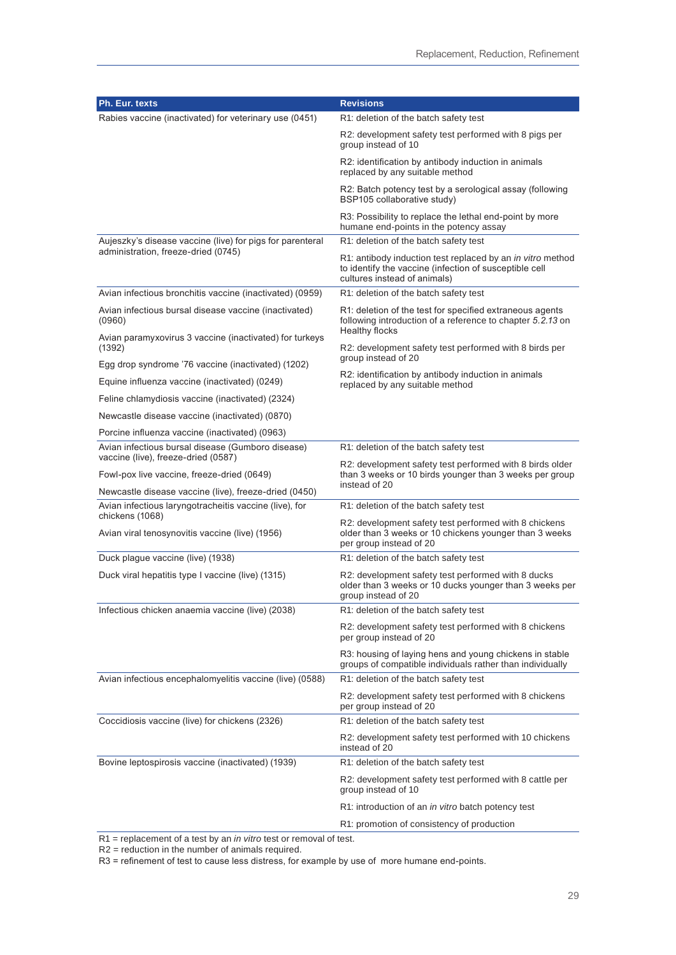| Ph. Eur. texts                                                                           | <b>Revisions</b>                                                                                                                                            |  |
|------------------------------------------------------------------------------------------|-------------------------------------------------------------------------------------------------------------------------------------------------------------|--|
| Rabies vaccine (inactivated) for veterinary use (0451)                                   | R1: deletion of the batch safety test                                                                                                                       |  |
|                                                                                          | R2: development safety test performed with 8 pigs per<br>group instead of 10                                                                                |  |
|                                                                                          | R2: identification by antibody induction in animals<br>replaced by any suitable method                                                                      |  |
|                                                                                          | R2: Batch potency test by a serological assay (following<br>BSP105 collaborative study)                                                                     |  |
|                                                                                          | R3: Possibility to replace the lethal end-point by more<br>humane end-points in the potency assay                                                           |  |
| Aujeszky's disease vaccine (live) for pigs for parenteral                                | R1: deletion of the batch safety test                                                                                                                       |  |
| administration, freeze-dried (0745)                                                      | R1: antibody induction test replaced by an <i>in vitro</i> method<br>to identify the vaccine (infection of susceptible cell<br>cultures instead of animals) |  |
| Avian infectious bronchitis vaccine (inactivated) (0959)                                 | R1: deletion of the batch safety test                                                                                                                       |  |
| Avian infectious bursal disease vaccine (inactivated)<br>(0960)                          | R1: deletion of the test for specified extraneous agents<br>following introduction of a reference to chapter 5.2.13 on<br>Healthy flocks                    |  |
| Avian paramyxovirus 3 vaccine (inactivated) for turkeys<br>(1392)                        | R2: development safety test performed with 8 birds per<br>group instead of 20                                                                               |  |
| Egg drop syndrome '76 vaccine (inactivated) (1202)                                       | R2: identification by antibody induction in animals                                                                                                         |  |
| Equine influenza vaccine (inactivated) (0249)                                            | replaced by any suitable method                                                                                                                             |  |
| Feline chlamydiosis vaccine (inactivated) (2324)                                         |                                                                                                                                                             |  |
| Newcastle disease vaccine (inactivated) (0870)                                           |                                                                                                                                                             |  |
| Porcine influenza vaccine (inactivated) (0963)                                           |                                                                                                                                                             |  |
| Avian infectious bursal disease (Gumboro disease)<br>vaccine (live), freeze-dried (0587) | R1: deletion of the batch safety test                                                                                                                       |  |
| Fowl-pox live vaccine, freeze-dried (0649)                                               | R2: development safety test performed with 8 birds older<br>than 3 weeks or 10 birds younger than 3 weeks per group                                         |  |
| Newcastle disease vaccine (live), freeze-dried (0450)                                    | instead of 20                                                                                                                                               |  |
| Avian infectious laryngotracheitis vaccine (live), for                                   | R1: deletion of the batch safety test                                                                                                                       |  |
| chickens (1068)<br>Avian viral tenosynovitis vaccine (live) (1956)                       | R2: development safety test performed with 8 chickens<br>older than 3 weeks or 10 chickens younger than 3 weeks<br>per group instead of 20                  |  |
| Duck plague vaccine (live) (1938)                                                        | R1: deletion of the batch safety test                                                                                                                       |  |
| Duck viral hepatitis type I vaccine (live) (1315)                                        | R2: development safety test performed with 8 ducks<br>older than 3 weeks or 10 ducks younger than 3 weeks per<br>group instead of 20                        |  |
| Infectious chicken anaemia vaccine (live) (2038)                                         | R1: deletion of the batch safety test                                                                                                                       |  |
|                                                                                          | R2: development safety test performed with 8 chickens<br>per group instead of 20                                                                            |  |
|                                                                                          | R3: housing of laying hens and young chickens in stable<br>groups of compatible individuals rather than individually                                        |  |
| Avian infectious encephalomyelitis vaccine (live) (0588)                                 | R1: deletion of the batch safety test                                                                                                                       |  |
|                                                                                          | R2: development safety test performed with 8 chickens<br>per group instead of 20                                                                            |  |
| Coccidiosis vaccine (live) for chickens (2326)                                           | R1: deletion of the batch safety test                                                                                                                       |  |
|                                                                                          | R2: development safety test performed with 10 chickens<br>instead of 20                                                                                     |  |
| Bovine leptospirosis vaccine (inactivated) (1939)                                        | R1: deletion of the batch safety test                                                                                                                       |  |
|                                                                                          | R2: development safety test performed with 8 cattle per<br>group instead of 10                                                                              |  |
|                                                                                          | R1: introduction of an in vitro batch potency test                                                                                                          |  |
|                                                                                          | R1: promotion of consistency of production                                                                                                                  |  |

R2 = reduction in the number of animals required.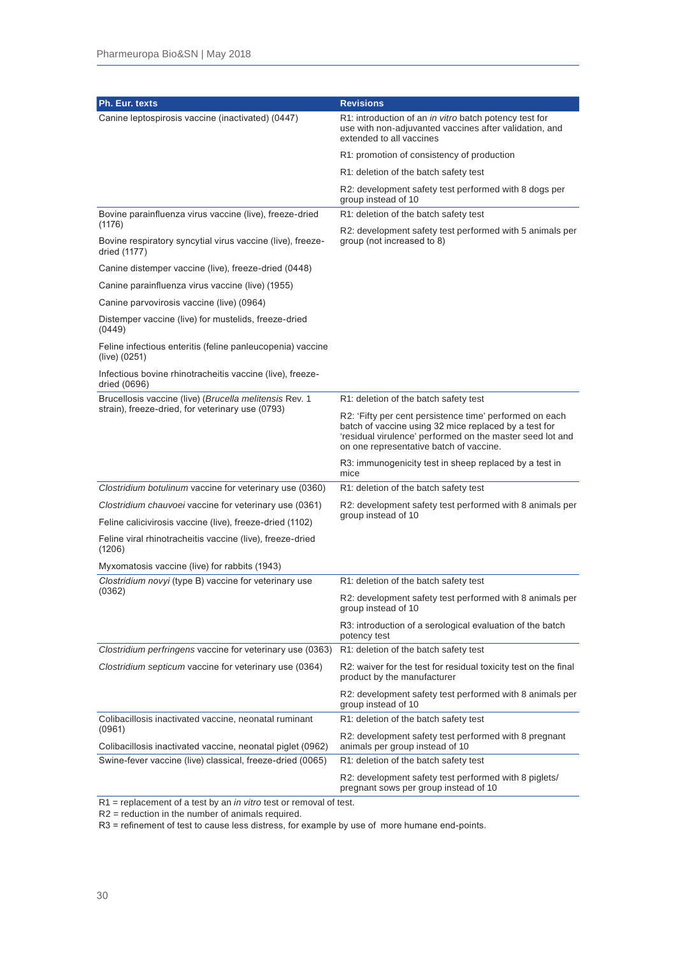| Ph. Eur. texts                                                              | <b>Revisions</b>                                                                                                                                                                                                         |  |
|-----------------------------------------------------------------------------|--------------------------------------------------------------------------------------------------------------------------------------------------------------------------------------------------------------------------|--|
| Canine leptospirosis vaccine (inactivated) (0447)                           | R1: introduction of an in vitro batch potency test for<br>use with non-adjuvanted vaccines after validation, and<br>extended to all vaccines                                                                             |  |
|                                                                             | R1: promotion of consistency of production                                                                                                                                                                               |  |
|                                                                             | R1: deletion of the batch safety test                                                                                                                                                                                    |  |
|                                                                             | R2: development safety test performed with 8 dogs per<br>group instead of 10                                                                                                                                             |  |
| Bovine parainfluenza virus vaccine (live), freeze-dried<br>(1176)           | R1: deletion of the batch safety test<br>R2: development safety test performed with 5 animals per                                                                                                                        |  |
| Bovine respiratory syncytial virus vaccine (live), freeze-<br>dried (1177)  | group (not increased to 8)                                                                                                                                                                                               |  |
| Canine distemper vaccine (live), freeze-dried (0448)                        |                                                                                                                                                                                                                          |  |
| Canine parainfluenza virus vaccine (live) (1955)                            |                                                                                                                                                                                                                          |  |
| Canine parvovirosis vaccine (live) (0964)                                   |                                                                                                                                                                                                                          |  |
| Distemper vaccine (live) for mustelids, freeze-dried<br>(0449)              |                                                                                                                                                                                                                          |  |
| Feline infectious enteritis (feline panleucopenia) vaccine<br>(live) (0251) |                                                                                                                                                                                                                          |  |
| Infectious bovine rhinotracheitis vaccine (live), freeze-<br>dried (0696)   |                                                                                                                                                                                                                          |  |
| Brucellosis vaccine (live) (Brucella melitensis Rev. 1                      | R1: deletion of the batch safety test                                                                                                                                                                                    |  |
| strain), freeze-dried, for veterinary use (0793)                            | R2: 'Fifty per cent persistence time' performed on each<br>batch of vaccine using 32 mice replaced by a test for<br>'residual virulence' performed on the master seed lot and<br>on one representative batch of vaccine. |  |
|                                                                             | R3: immunogenicity test in sheep replaced by a test in<br>mice                                                                                                                                                           |  |
| Clostridium botulinum vaccine for veterinary use (0360)                     | R1: deletion of the batch safety test                                                                                                                                                                                    |  |
| Clostridium chauvoei vaccine for veterinary use (0361)                      | R2: development safety test performed with 8 animals per                                                                                                                                                                 |  |
| Feline calicivirosis vaccine (live), freeze-dried (1102)                    | group instead of 10                                                                                                                                                                                                      |  |
| Feline viral rhinotracheitis vaccine (live), freeze-dried<br>(1206)         |                                                                                                                                                                                                                          |  |
| Myxomatosis vaccine (live) for rabbits (1943)                               |                                                                                                                                                                                                                          |  |
| Clostridium novyi (type B) vaccine for veterinary use                       | R1: deletion of the batch safety test                                                                                                                                                                                    |  |
| (0362)                                                                      | R2: development safety test performed with 8 animals per<br>group instead of 10                                                                                                                                          |  |
|                                                                             | R3: introduction of a serological evaluation of the batch<br>potency test                                                                                                                                                |  |
| Clostridium perfringens vaccine for veterinary use (0363)                   | R1: deletion of the batch safety test                                                                                                                                                                                    |  |
| Clostridium septicum vaccine for veterinary use (0364)                      | R2: waiver for the test for residual toxicity test on the final<br>product by the manufacturer                                                                                                                           |  |
|                                                                             | R2: development safety test performed with 8 animals per<br>group instead of 10                                                                                                                                          |  |
| Colibacillosis inactivated vaccine, neonatal ruminant<br>(0961)             | R1: deletion of the batch safety test                                                                                                                                                                                    |  |
| Colibacillosis inactivated vaccine, neonatal piglet (0962)                  | R2: development safety test performed with 8 pregnant<br>animals per group instead of 10                                                                                                                                 |  |
| Swine-fever vaccine (live) classical, freeze-dried (0065)                   | R1: deletion of the batch safety test                                                                                                                                                                                    |  |
|                                                                             | R2: development safety test performed with 8 piglets/<br>pregnant sows per group instead of 10                                                                                                                           |  |

R2 = reduction in the number of animals required.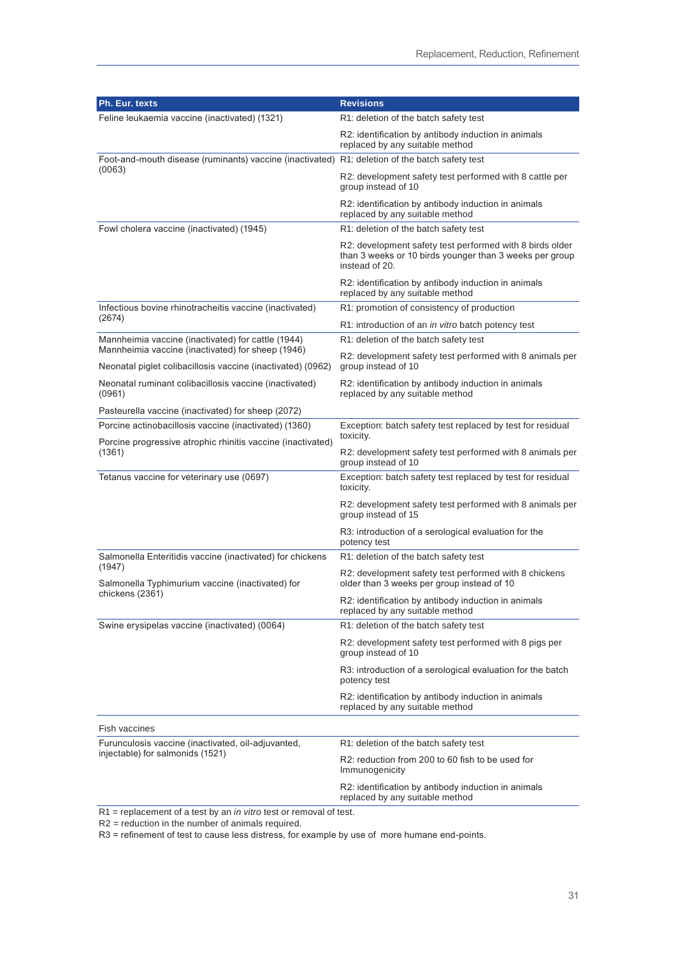| Ph. Eur. texts                                                                                                       | <b>Revisions</b>                                                                                                                      |
|----------------------------------------------------------------------------------------------------------------------|---------------------------------------------------------------------------------------------------------------------------------------|
| Feline leukaemia vaccine (inactivated) (1321)                                                                        | R1: deletion of the batch safety test                                                                                                 |
|                                                                                                                      | R2: identification by antibody induction in animals<br>replaced by any suitable method                                                |
| Foot-and-mouth disease (ruminants) vaccine (inactivated)                                                             | R1: deletion of the batch safety test                                                                                                 |
| (0063)                                                                                                               | R2: development safety test performed with 8 cattle per<br>group instead of 10                                                        |
|                                                                                                                      | R2: identification by antibody induction in animals<br>replaced by any suitable method                                                |
| Fowl cholera vaccine (inactivated) (1945)                                                                            | R1: deletion of the batch safety test                                                                                                 |
|                                                                                                                      | R2: development safety test performed with 8 birds older<br>than 3 weeks or 10 birds younger than 3 weeks per group<br>instead of 20. |
|                                                                                                                      | R2: identification by antibody induction in animals<br>replaced by any suitable method                                                |
| Infectious bovine rhinotracheitis vaccine (inactivated)                                                              | R1: promotion of consistency of production                                                                                            |
| (2674)                                                                                                               | R1: introduction of an in vitro batch potency test                                                                                    |
| Mannheimia vaccine (inactivated) for cattle (1944)<br>Mannheimia vaccine (inactivated) for sheep (1946)              | R1: deletion of the batch safety test                                                                                                 |
| Neonatal piglet colibacillosis vaccine (inactivated) (0962)                                                          | R2: development safety test performed with 8 animals per<br>group instead of 10                                                       |
| Neonatal ruminant colibacillosis vaccine (inactivated)<br>(0961)                                                     | R2: identification by antibody induction in animals<br>replaced by any suitable method                                                |
| Pasteurella vaccine (inactivated) for sheep (2072)                                                                   |                                                                                                                                       |
| Porcine actinobacillosis vaccine (inactivated) (1360)<br>Porcine progressive atrophic rhinitis vaccine (inactivated) | Exception: batch safety test replaced by test for residual<br>toxicity.                                                               |
| (1361)                                                                                                               | R2: development safety test performed with 8 animals per<br>group instead of 10                                                       |
| Tetanus vaccine for veterinary use (0697)                                                                            | Exception: batch safety test replaced by test for residual<br>toxicity.                                                               |
|                                                                                                                      | R2: development safety test performed with 8 animals per<br>group instead of 15                                                       |
|                                                                                                                      | R3: introduction of a serological evaluation for the<br>potency test                                                                  |
| Salmonella Enteritidis vaccine (inactivated) for chickens                                                            | R1: deletion of the batch safety test                                                                                                 |
| (1947)<br>Salmonella Typhimurium vaccine (inactivated) for                                                           | R2: development safety test performed with 8 chickens<br>older than 3 weeks per group instead of 10                                   |
| chickens (2361)                                                                                                      | R2: identification by antibody induction in animals<br>replaced by any suitable method                                                |
| Swine erysipelas vaccine (inactivated) (0064)                                                                        | R1: deletion of the batch safety test                                                                                                 |
|                                                                                                                      | R2: development safety test performed with 8 pigs per<br>group instead of 10                                                          |
|                                                                                                                      | R3: introduction of a serological evaluation for the batch<br>potency test                                                            |
|                                                                                                                      | R2: identification by antibody induction in animals<br>replaced by any suitable method                                                |
| <b>Fish vaccines</b>                                                                                                 |                                                                                                                                       |
| Furunculosis vaccine (inactivated, oil-adjuvanted,                                                                   | R1: deletion of the batch safety test                                                                                                 |
| injectable) for salmonids (1521)                                                                                     | R2: reduction from 200 to 60 fish to be used for<br>Immunogenicity                                                                    |
|                                                                                                                      | R2: identification by antibody induction in animals<br>replaced by any suitable method                                                |

R2 = reduction in the number of animals required.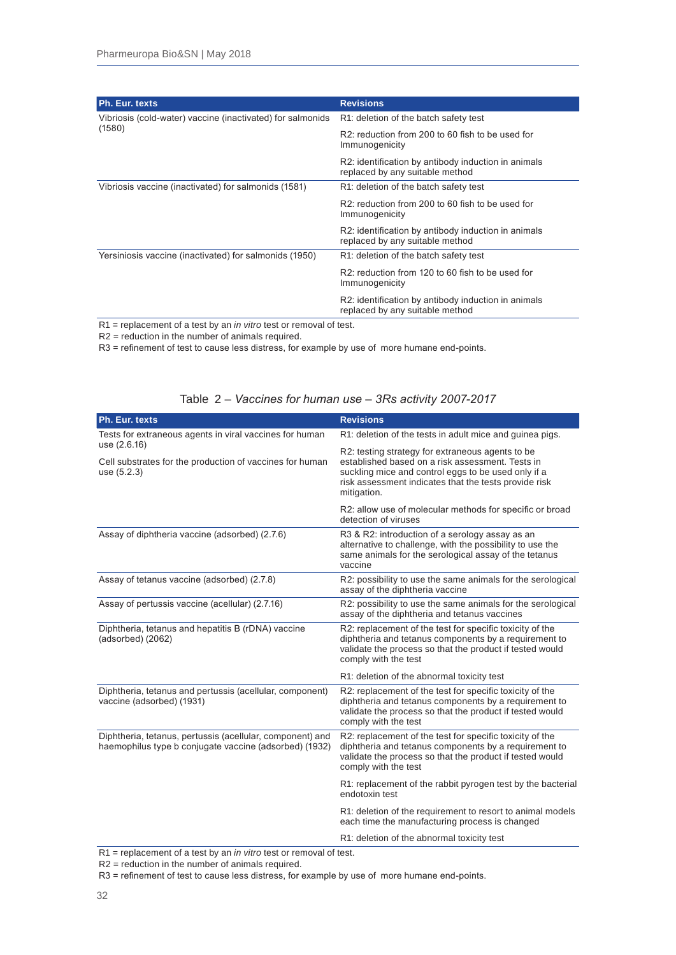| Ph. Eur. texts                                             | <b>Revisions</b>                                                                       |
|------------------------------------------------------------|----------------------------------------------------------------------------------------|
| Vibriosis (cold-water) vaccine (inactivated) for salmonids | R1: deletion of the batch safety test                                                  |
| (1580)                                                     | R2: reduction from 200 to 60 fish to be used for<br>Immunogenicity                     |
|                                                            | R2: identification by antibody induction in animals<br>replaced by any suitable method |
| Vibriosis vaccine (inactivated) for salmonids (1581)       | R1: deletion of the batch safety test                                                  |
|                                                            | R2: reduction from 200 to 60 fish to be used for<br>Immunogenicity                     |
|                                                            | R2: identification by antibody induction in animals<br>replaced by any suitable method |
| Yersiniosis vaccine (inactivated) for salmonids (1950)     | R1: deletion of the batch safety test                                                  |
|                                                            | R2: reduction from 120 to 60 fish to be used for<br>Immunogenicity                     |
|                                                            | R2: identification by antibody induction in animals<br>replaced by any suitable method |

R2 = reduction in the number of animals required.

R3 = refinement of test to cause less distress, for example by use of more humane end-points.

#### Table 2 – *Vaccines for human use – 3Rs activity 2007-2017*

| Ph. Eur. texts                                                                                                      | <b>Revisions</b>                                                                                                                                                                                                                    |
|---------------------------------------------------------------------------------------------------------------------|-------------------------------------------------------------------------------------------------------------------------------------------------------------------------------------------------------------------------------------|
| Tests for extraneous agents in viral vaccines for human                                                             | R1: deletion of the tests in adult mice and guinea pigs.                                                                                                                                                                            |
| use (2.6.16)<br>Cell substrates for the production of vaccines for human<br>use (5.2.3)                             | R2: testing strategy for extraneous agents to be<br>established based on a risk assessment. Tests in<br>suckling mice and control eggs to be used only if a<br>risk assessment indicates that the tests provide risk<br>mitigation. |
|                                                                                                                     | R2: allow use of molecular methods for specific or broad<br>detection of viruses                                                                                                                                                    |
| Assay of diphtheria vaccine (adsorbed) (2.7.6)                                                                      | R3 & R2: introduction of a serology assay as an<br>alternative to challenge, with the possibility to use the<br>same animals for the serological assay of the tetanus<br>vaccine                                                    |
| Assay of tetanus vaccine (adsorbed) (2.7.8)                                                                         | R2: possibility to use the same animals for the serological<br>assay of the diphtheria vaccine                                                                                                                                      |
| Assay of pertussis vaccine (acellular) (2.7.16)                                                                     | R2: possibility to use the same animals for the serological<br>assay of the diphtheria and tetanus vaccines                                                                                                                         |
| Diphtheria, tetanus and hepatitis B (rDNA) vaccine<br>(adsorbed) (2062)                                             | R2: replacement of the test for specific toxicity of the<br>diphtheria and tetanus components by a requirement to<br>validate the process so that the product if tested would<br>comply with the test                               |
|                                                                                                                     | R1: deletion of the abnormal toxicity test                                                                                                                                                                                          |
| Diphtheria, tetanus and pertussis (acellular, component)<br>vaccine (adsorbed) (1931)                               | R2: replacement of the test for specific toxicity of the<br>diphtheria and tetanus components by a requirement to<br>validate the process so that the product if tested would<br>comply with the test                               |
| Diphtheria, tetanus, pertussis (acellular, component) and<br>haemophilus type b conjugate vaccine (adsorbed) (1932) | R2: replacement of the test for specific toxicity of the<br>diphtheria and tetanus components by a requirement to<br>validate the process so that the product if tested would<br>comply with the test                               |
|                                                                                                                     | R1: replacement of the rabbit pyrogen test by the bacterial<br>endotoxin test                                                                                                                                                       |
|                                                                                                                     | R1: deletion of the requirement to resort to animal models<br>each time the manufacturing process is changed                                                                                                                        |
|                                                                                                                     | R1: deletion of the abnormal toxicity test                                                                                                                                                                                          |

R1 = replacement of a test by an *in vitro* test or removal of test.

R2 = reduction in the number of animals required.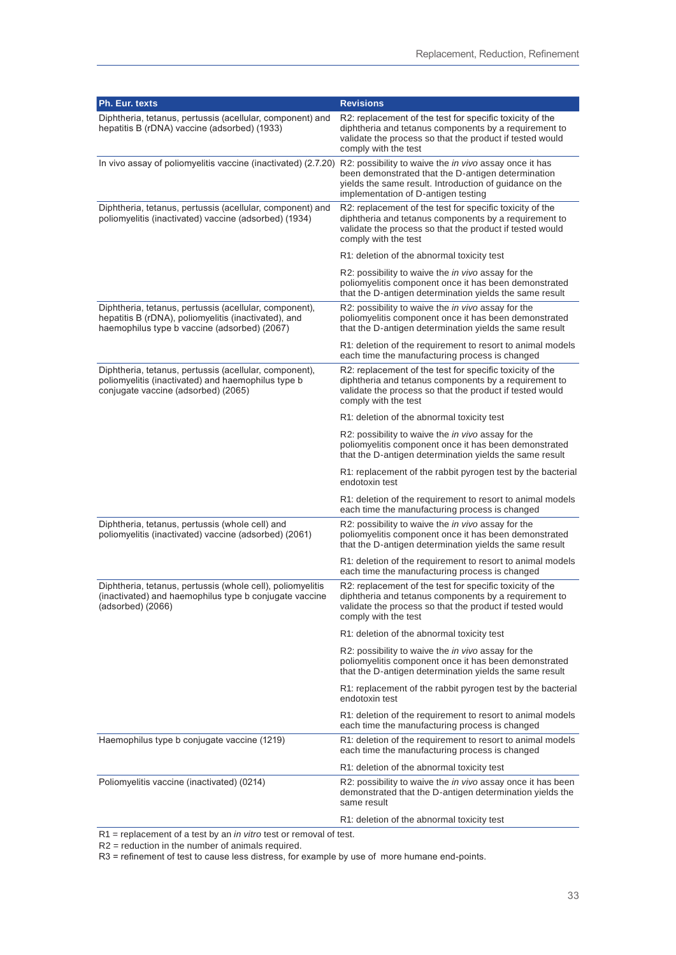| Ph. Eur. texts                                                                                                                                                 | <b>Revisions</b>                                                                                                                                                                                      |
|----------------------------------------------------------------------------------------------------------------------------------------------------------------|-------------------------------------------------------------------------------------------------------------------------------------------------------------------------------------------------------|
| Diphtheria, tetanus, pertussis (acellular, component) and<br>hepatitis B (rDNA) vaccine (adsorbed) (1933)                                                      | R2: replacement of the test for specific toxicity of the<br>diphtheria and tetanus components by a requirement to<br>validate the process so that the product if tested would<br>comply with the test |
| In vivo assay of poliomyelitis vaccine (inactivated) (2.7.20) R2: possibility to waive the <i>in vivo</i> assay once it has                                    | been demonstrated that the D-antigen determination<br>yields the same result. Introduction of guidance on the<br>implementation of D-antigen testing                                                  |
| Diphtheria, tetanus, pertussis (acellular, component) and<br>poliomyelitis (inactivated) vaccine (adsorbed) (1934)                                             | R2: replacement of the test for specific toxicity of the<br>diphtheria and tetanus components by a requirement to<br>validate the process so that the product if tested would<br>comply with the test |
|                                                                                                                                                                | R1: deletion of the abnormal toxicity test                                                                                                                                                            |
|                                                                                                                                                                | R2: possibility to waive the <i>in vivo</i> assay for the<br>poliomyelitis component once it has been demonstrated<br>that the D-antigen determination yields the same result                         |
| Diphtheria, tetanus, pertussis (acellular, component),<br>hepatitis B (rDNA), poliomyelitis (inactivated), and<br>haemophilus type b vaccine (adsorbed) (2067) | R2: possibility to waive the in vivo assay for the<br>poliomyelitis component once it has been demonstrated<br>that the D-antigen determination yields the same result                                |
|                                                                                                                                                                | R1: deletion of the requirement to resort to animal models<br>each time the manufacturing process is changed                                                                                          |
| Diphtheria, tetanus, pertussis (acellular, component),<br>poliomyelitis (inactivated) and haemophilus type b<br>conjugate vaccine (adsorbed) (2065)            | R2: replacement of the test for specific toxicity of the<br>diphtheria and tetanus components by a requirement to<br>validate the process so that the product if tested would<br>comply with the test |
|                                                                                                                                                                | R1: deletion of the abnormal toxicity test                                                                                                                                                            |
|                                                                                                                                                                | R2: possibility to waive the <i>in vivo</i> assay for the<br>poliomyelitis component once it has been demonstrated<br>that the D-antigen determination yields the same result                         |
|                                                                                                                                                                | R1: replacement of the rabbit pyrogen test by the bacterial<br>endotoxin test                                                                                                                         |
|                                                                                                                                                                | R1: deletion of the requirement to resort to animal models<br>each time the manufacturing process is changed                                                                                          |
| Diphtheria, tetanus, pertussis (whole cell) and<br>poliomyelitis (inactivated) vaccine (adsorbed) (2061)                                                       | R2: possibility to waive the <i>in vivo</i> assay for the<br>poliomyelitis component once it has been demonstrated<br>that the D-antigen determination yields the same result                         |
|                                                                                                                                                                | R1: deletion of the requirement to resort to animal models<br>each time the manufacturing process is changed                                                                                          |
| Diphtheria, tetanus, pertussis (whole cell), poliomyelitis<br>(inactivated) and haemophilus type b conjugate vaccine<br>(adsorbed) (2066)                      | R2: replacement of the test for specific toxicity of the<br>diphtheria and tetanus components by a requirement to<br>validate the process so that the product if tested would<br>comply with the test |
|                                                                                                                                                                | R1: deletion of the abnormal toxicity test                                                                                                                                                            |
|                                                                                                                                                                | R2: possibility to waive the <i>in vivo</i> assay for the<br>poliomyelitis component once it has been demonstrated<br>that the D-antigen determination yields the same result                         |
|                                                                                                                                                                | R1: replacement of the rabbit pyrogen test by the bacterial<br>endotoxin test                                                                                                                         |
|                                                                                                                                                                | R1: deletion of the requirement to resort to animal models<br>each time the manufacturing process is changed                                                                                          |
| Haemophilus type b conjugate vaccine (1219)                                                                                                                    | R1: deletion of the requirement to resort to animal models<br>each time the manufacturing process is changed                                                                                          |
| Poliomyelitis vaccine (inactivated) (0214)                                                                                                                     | R1: deletion of the abnormal toxicity test                                                                                                                                                            |
|                                                                                                                                                                | R2: possibility to waive the <i>in vivo</i> assay once it has been<br>demonstrated that the D-antigen determination yields the<br>same result                                                         |
|                                                                                                                                                                | R1: deletion of the abnormal toxicity test                                                                                                                                                            |

R2 = reduction in the number of animals required.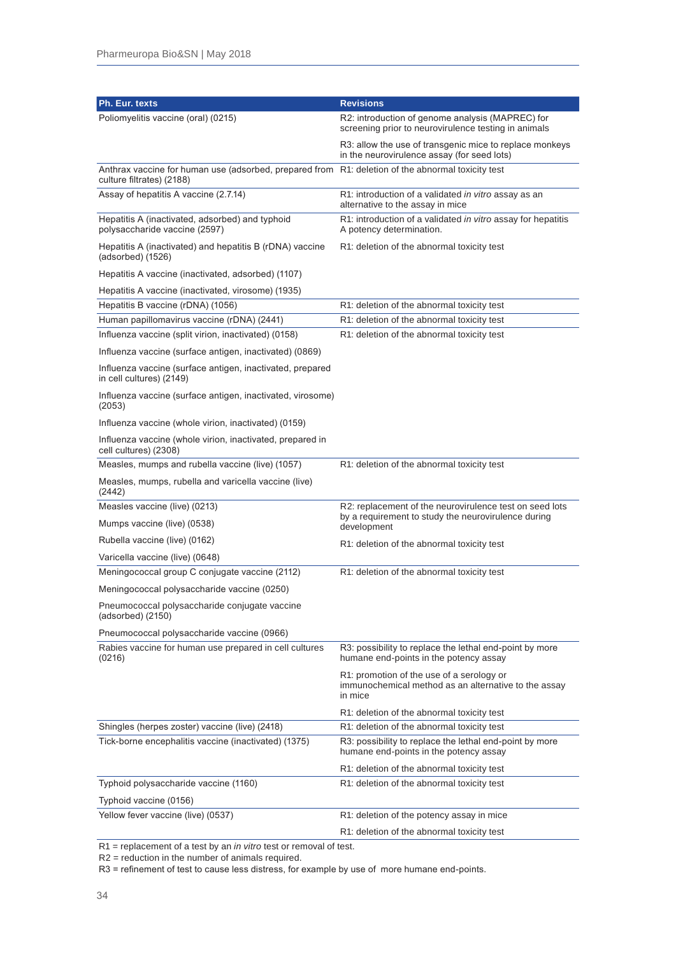| Ph. Eur. texts                                                                                                                 | <b>Revisions</b>                                                                                             |
|--------------------------------------------------------------------------------------------------------------------------------|--------------------------------------------------------------------------------------------------------------|
| Poliomyelitis vaccine (oral) (0215)                                                                                            | R2: introduction of genome analysis (MAPREC) for<br>screening prior to neurovirulence testing in animals     |
|                                                                                                                                | R3: allow the use of transgenic mice to replace monkeys<br>in the neurovirulence assay (for seed lots)       |
| Anthrax vaccine for human use (adsorbed, prepared from R1: deletion of the abnormal toxicity test<br>culture filtrates) (2188) |                                                                                                              |
| Assay of hepatitis A vaccine (2.7.14)                                                                                          | R1: introduction of a validated <i>in vitro</i> assay as an<br>alternative to the assay in mice              |
| Hepatitis A (inactivated, adsorbed) and typhoid<br>polysaccharide vaccine (2597)                                               | R1: introduction of a validated in vitro assay for hepatitis<br>A potency determination.                     |
| Hepatitis A (inactivated) and hepatitis B (rDNA) vaccine<br>(adsorbed) (1526)                                                  | R1: deletion of the abnormal toxicity test                                                                   |
| Hepatitis A vaccine (inactivated, adsorbed) (1107)                                                                             |                                                                                                              |
| Hepatitis A vaccine (inactivated, virosome) (1935)                                                                             |                                                                                                              |
| Hepatitis B vaccine (rDNA) (1056)                                                                                              | R1: deletion of the abnormal toxicity test                                                                   |
| Human papillomavirus vaccine (rDNA) (2441)                                                                                     | R1: deletion of the abnormal toxicity test                                                                   |
| Influenza vaccine (split virion, inactivated) (0158)                                                                           | R1: deletion of the abnormal toxicity test                                                                   |
| Influenza vaccine (surface antigen, inactivated) (0869)                                                                        |                                                                                                              |
| Influenza vaccine (surface antigen, inactivated, prepared<br>in cell cultures) (2149)                                          |                                                                                                              |
| Influenza vaccine (surface antigen, inactivated, virosome)<br>(2053)                                                           |                                                                                                              |
| Influenza vaccine (whole virion, inactivated) (0159)                                                                           |                                                                                                              |
| Influenza vaccine (whole virion, inactivated, prepared in<br>cell cultures) (2308)                                             |                                                                                                              |
| Measles, mumps and rubella vaccine (live) (1057)                                                                               | R1: deletion of the abnormal toxicity test                                                                   |
| Measles, mumps, rubella and varicella vaccine (live)<br>(2442)                                                                 |                                                                                                              |
| Measles vaccine (live) (0213)                                                                                                  | R2: replacement of the neurovirulence test on seed lots                                                      |
| Mumps vaccine (live) (0538)                                                                                                    | by a requirement to study the neurovirulence during<br>development                                           |
| Rubella vaccine (live) (0162)                                                                                                  | R1: deletion of the abnormal toxicity test                                                                   |
| Varicella vaccine (live) (0648)                                                                                                |                                                                                                              |
| Meningococcal group C conjugate vaccine (2112)                                                                                 | R1: deletion of the abnormal toxicity test                                                                   |
| Meningococcal polysaccharide vaccine (0250)                                                                                    |                                                                                                              |
| Pneumococcal polysaccharide conjugate vaccine<br>$(adsorbed)$ $(2150)$                                                         |                                                                                                              |
| Pneumococcal polysaccharide vaccine (0966)                                                                                     |                                                                                                              |
| Rabies vaccine for human use prepared in cell cultures<br>(0216)                                                               | R3: possibility to replace the lethal end-point by more<br>humane end-points in the potency assay            |
|                                                                                                                                | R1: promotion of the use of a serology or<br>immunochemical method as an alternative to the assay<br>in mice |
|                                                                                                                                | R1: deletion of the abnormal toxicity test                                                                   |
| Shingles (herpes zoster) vaccine (live) (2418)                                                                                 | R1: deletion of the abnormal toxicity test                                                                   |
| Tick-borne encephalitis vaccine (inactivated) (1375)                                                                           | R3: possibility to replace the lethal end-point by more<br>humane end-points in the potency assay            |
|                                                                                                                                | R1: deletion of the abnormal toxicity test                                                                   |
| Typhoid polysaccharide vaccine (1160)                                                                                          | R1: deletion of the abnormal toxicity test                                                                   |
| Typhoid vaccine (0156)                                                                                                         |                                                                                                              |
| Yellow fever vaccine (live) (0537)                                                                                             | R1: deletion of the potency assay in mice                                                                    |
|                                                                                                                                | R1: deletion of the abnormal toxicity test                                                                   |

R2 = reduction in the number of animals required.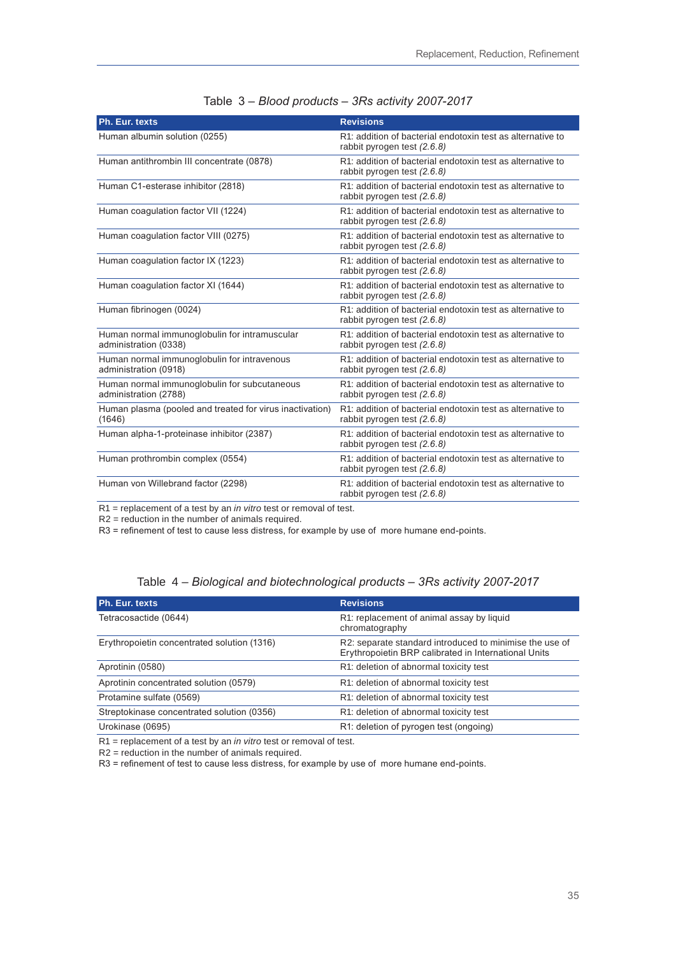| Ph. Eur. texts                                                         | <b>Revisions</b>                                                                          |
|------------------------------------------------------------------------|-------------------------------------------------------------------------------------------|
| Human albumin solution (0255)                                          | R1: addition of bacterial endotoxin test as alternative to<br>rabbit pyrogen test (2.6.8) |
| Human antithrombin III concentrate (0878)                              | R1: addition of bacterial endotoxin test as alternative to<br>rabbit pyrogen test (2.6.8) |
| Human C1-esterase inhibitor (2818)                                     | R1: addition of bacterial endotoxin test as alternative to<br>rabbit pyrogen test (2.6.8) |
| Human coagulation factor VII (1224)                                    | R1: addition of bacterial endotoxin test as alternative to<br>rabbit pyrogen test (2.6.8) |
| Human coagulation factor VIII (0275)                                   | R1: addition of bacterial endotoxin test as alternative to<br>rabbit pyrogen test (2.6.8) |
| Human coagulation factor IX (1223)                                     | R1: addition of bacterial endotoxin test as alternative to<br>rabbit pyrogen test (2.6.8) |
| Human coagulation factor XI (1644)                                     | R1: addition of bacterial endotoxin test as alternative to<br>rabbit pyrogen test (2.6.8) |
| Human fibrinogen (0024)                                                | R1: addition of bacterial endotoxin test as alternative to<br>rabbit pyrogen test (2.6.8) |
| Human normal immunoglobulin for intramuscular<br>administration (0338) | R1: addition of bacterial endotoxin test as alternative to<br>rabbit pyrogen test (2.6.8) |
| Human normal immunoglobulin for intravenous<br>administration (0918)   | R1: addition of bacterial endotoxin test as alternative to<br>rabbit pyrogen test (2.6.8) |
| Human normal immunoglobulin for subcutaneous<br>administration (2788)  | R1: addition of bacterial endotoxin test as alternative to<br>rabbit pyrogen test (2.6.8) |
| Human plasma (pooled and treated for virus inactivation)<br>(1646)     | R1: addition of bacterial endotoxin test as alternative to<br>rabbit pyrogen test (2.6.8) |
| Human alpha-1-proteinase inhibitor (2387)                              | R1: addition of bacterial endotoxin test as alternative to<br>rabbit pyrogen test (2.6.8) |
| Human prothrombin complex (0554)                                       | R1: addition of bacterial endotoxin test as alternative to<br>rabbit pyrogen test (2.6.8) |
| Human von Willebrand factor (2298)                                     | R1: addition of bacterial endotoxin test as alternative to<br>rabbit pyrogen test (2.6.8) |

<span id="page-23-0"></span>

|  |  |  |  | Table 3 - Blood products - 3Rs activity 2007-2017 |  |
|--|--|--|--|---------------------------------------------------|--|
|--|--|--|--|---------------------------------------------------|--|

R2 = reduction in the number of animals required.

R3 = refinement of test to cause less distress, for example by use of more humane end-points.

|  |  |  | Table 4 – Biological and biotechnological products – 3Rs activity 2007-2017 |
|--|--|--|-----------------------------------------------------------------------------|
|--|--|--|-----------------------------------------------------------------------------|

| Ph. Eur. texts                              | <b>Revisions</b>                                                                                                |
|---------------------------------------------|-----------------------------------------------------------------------------------------------------------------|
| Tetracosactide (0644)                       | R1: replacement of animal assay by liquid<br>chromatography                                                     |
| Erythropoietin concentrated solution (1316) | R2: separate standard introduced to minimise the use of<br>Erythropoietin BRP calibrated in International Units |
| Aprotinin (0580)                            | R1: deletion of abnormal toxicity test                                                                          |
| Aprotinin concentrated solution (0579)      | R1: deletion of abnormal toxicity test                                                                          |
| Protamine sulfate (0569)                    | R1: deletion of abnormal toxicity test                                                                          |
| Streptokinase concentrated solution (0356)  | R1: deletion of abnormal toxicity test                                                                          |
| Urokinase (0695)                            | R1: deletion of pyrogen test (ongoing)                                                                          |

R1 = replacement of a test by an *in vitro* test or removal of test.

R2 = reduction in the number of animals required.